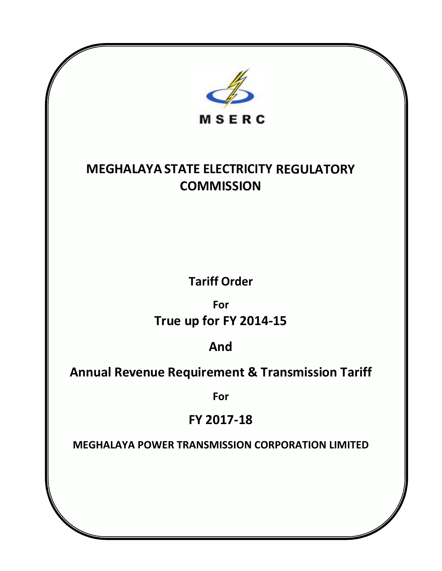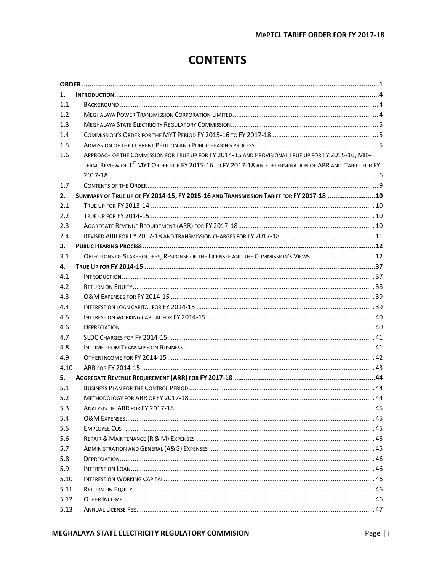# **CONTENTS**

| 1.   |                                                                                                                  |
|------|------------------------------------------------------------------------------------------------------------------|
| 1.1  |                                                                                                                  |
| 1.2  |                                                                                                                  |
| 1.3  |                                                                                                                  |
| 1.4  |                                                                                                                  |
| 1.5  |                                                                                                                  |
| 1.6  | APPROACH OF THE COMMISSION FOR TRUE UP FOR FY 2014-15 AND PROVISIONAL TRUE UP FOR FY 2015-16, MID-               |
|      | TERM REVIEW OF 1 <sup>ST</sup> MYT ORDER FOR FY 2015-16 TO FY 2017-18 AND DETERMINATION OF ARR AND TARIFF FOR FY |
| 1.7  |                                                                                                                  |
| 2.   | SUMMARY OF TRUE UP OF FY 2014-15, FY 2015-16 AND TRANSMISSION TARIFF FOR FY 2017-18 10                           |
| 2.1  |                                                                                                                  |
| 2.2  |                                                                                                                  |
| 2.3  |                                                                                                                  |
| 2.4  |                                                                                                                  |
| з.   |                                                                                                                  |
| 3.1  | OBJECTIONS OF STAKEHOLDERS, RESPONSE OF THE LICENSEE AND THE COMMISSION'S VIEWS  12                              |
| 4.   |                                                                                                                  |
| 4.1  |                                                                                                                  |
| 4.2  |                                                                                                                  |
| 4.3  |                                                                                                                  |
| 4.4  |                                                                                                                  |
| 4.5  |                                                                                                                  |
| 4.6  |                                                                                                                  |
| 4.7  |                                                                                                                  |
| 4.8  |                                                                                                                  |
| 4.9  |                                                                                                                  |
| 4.10 |                                                                                                                  |
| 5.   |                                                                                                                  |
| 5.1  |                                                                                                                  |
| 5.2  |                                                                                                                  |
| 5.3  |                                                                                                                  |
| 5.4  |                                                                                                                  |
| 5.5  |                                                                                                                  |
| 5.6  |                                                                                                                  |
| 5.7  |                                                                                                                  |
| 5.8  |                                                                                                                  |
| 5.9  |                                                                                                                  |
| 5.10 |                                                                                                                  |
| 5.11 |                                                                                                                  |
| 5.12 |                                                                                                                  |
| 5.13 |                                                                                                                  |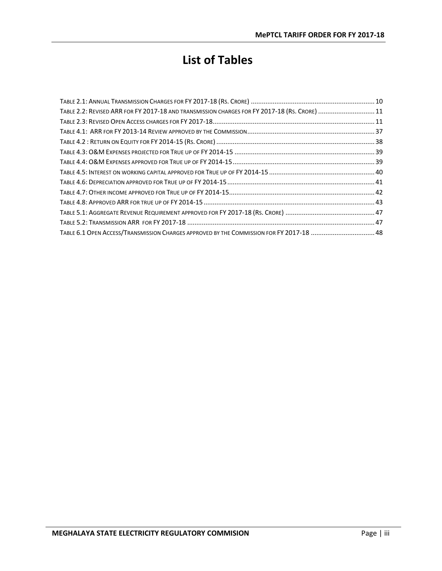# **List of Tables**

| TABLE 2.2: REVISED ARR FOR FY 2017-18 AND TRANSMISSION CHARGES FOR FY 2017-18 (RS. CRORE)  11 |  |
|-----------------------------------------------------------------------------------------------|--|
|                                                                                               |  |
|                                                                                               |  |
|                                                                                               |  |
|                                                                                               |  |
|                                                                                               |  |
|                                                                                               |  |
|                                                                                               |  |
|                                                                                               |  |
|                                                                                               |  |
|                                                                                               |  |
|                                                                                               |  |
| TABLE 6.1 OPEN ACCESS/TRANSMISSION CHARGES APPROVED BY THE COMMISSION FOR FY 2017-18  48      |  |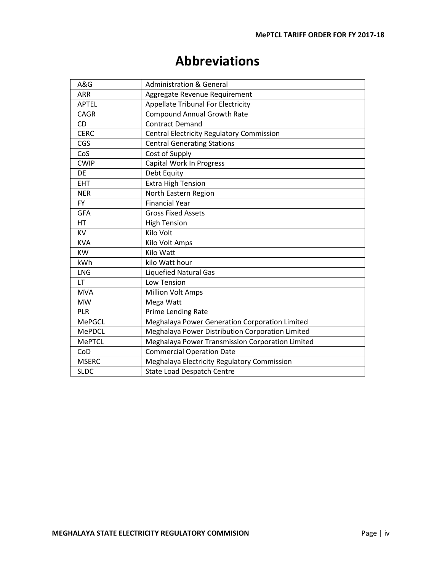# **Abbreviations**

| A&G           | <b>Administration &amp; General</b>              |
|---------------|--------------------------------------------------|
| <b>ARR</b>    | Aggregate Revenue Requirement                    |
| <b>APTEL</b>  | <b>Appellate Tribunal For Electricity</b>        |
| <b>CAGR</b>   | <b>Compound Annual Growth Rate</b>               |
| <b>CD</b>     | <b>Contract Demand</b>                           |
| <b>CERC</b>   | <b>Central Electricity Regulatory Commission</b> |
| CGS           | <b>Central Generating Stations</b>               |
| CoS           | Cost of Supply                                   |
| <b>CWIP</b>   | <b>Capital Work In Progress</b>                  |
| <b>DE</b>     | Debt Equity                                      |
| <b>EHT</b>    | <b>Extra High Tension</b>                        |
| <b>NER</b>    | North Eastern Region                             |
| <b>FY</b>     | <b>Financial Year</b>                            |
| <b>GFA</b>    | <b>Gross Fixed Assets</b>                        |
| <b>HT</b>     | <b>High Tension</b>                              |
| <b>KV</b>     | Kilo Volt                                        |
| <b>KVA</b>    | Kilo Volt Amps                                   |
| <b>KW</b>     | Kilo Watt                                        |
| kWh           | kilo Watt hour                                   |
| <b>LNG</b>    | <b>Liquefied Natural Gas</b>                     |
| <b>LT</b>     | <b>Low Tension</b>                               |
| <b>MVA</b>    | <b>Million Volt Amps</b>                         |
| <b>MW</b>     | Mega Watt                                        |
| PLR           | Prime Lending Rate                               |
| <b>MePGCL</b> | Meghalaya Power Generation Corporation Limited   |
| <b>MePDCL</b> | Meghalaya Power Distribution Corporation Limited |
| <b>MePTCL</b> | Meghalaya Power Transmission Corporation Limited |
| CoD           | <b>Commercial Operation Date</b>                 |
| <b>MSERC</b>  | Meghalaya Electricity Regulatory Commission      |
| <b>SLDC</b>   | <b>State Load Despatch Centre</b>                |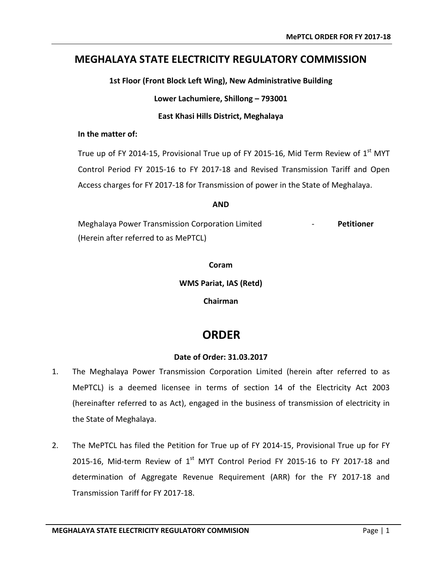## **MEGHALAYA STATE ELECTRICITY REGULATORY COMMISSION**

**1st Floor (Front Block Left Wing), New Administrative Building**

**Lower Lachumiere, Shillong – 793001**

**East Khasi Hills District, Meghalaya**

#### **In the matter of:**

True up of FY 2014-15, Provisional True up of FY 2015-16, Mid Term Review of  $1<sup>st</sup>$  MYT Control Period FY 2015-16 to FY 2017-18 and Revised Transmission Tariff and Open Access charges for FY 2017-18 for Transmission of power in the State of Meghalaya.

#### **AND**

Meghalaya Power Transmission Corporation Limited - **Petitioner** (Herein after referred to as MePTCL)

**Coram**

**WMS Pariat, IAS (Retd)**

**Chairman**

## <span id="page-6-0"></span> **ORDER**

## **Date of Order: 31.03.2017**

- 1. The Meghalaya Power Transmission Corporation Limited (herein after referred to as MePTCL) is a deemed licensee in terms of section 14 of the Electricity Act 2003 (hereinafter referred to as Act), engaged in the business of transmission of electricity in the State of Meghalaya.
- 2. The MePTCL has filed the Petition for True up of FY 2014-15, Provisional True up for FY 2015-16, Mid-term Review of  $1<sup>st</sup>$  MYT Control Period FY 2015-16 to FY 2017-18 and determination of Aggregate Revenue Requirement (ARR) for the FY 2017-18 and Transmission Tariff for FY 2017-18.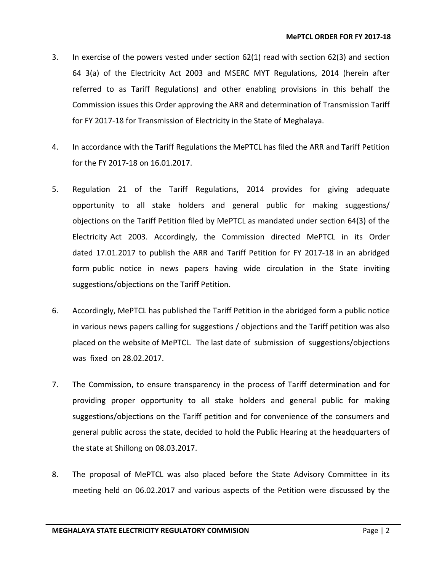- 3. In exercise of the powers vested under section 62(1) read with section 62(3) and section 64 3(a) of the Electricity Act 2003 and MSERC MYT Regulations, 2014 (herein after referred to as Tariff Regulations) and other enabling provisions in this behalf the Commission issues this Order approving the ARR and determination of Transmission Tariff for FY 2017-18 for Transmission of Electricity in the State of Meghalaya.
- 4. In accordance with the Tariff Regulations the MePTCL has filed the ARR and Tariff Petition for the FY 2017-18 on 16.01.2017.
- 5. Regulation 21 of the Tariff Regulations, 2014 provides for giving adequate opportunity to all stake holders and general public for making suggestions/ objections on the Tariff Petition filed by MePTCL as mandated under section 64(3) of the Electricity Act 2003. Accordingly, the Commission directed MePTCL in its Order dated 17.01.2017 to publish the ARR and Tariff Petition for FY 2017-18 in an abridged form public notice in news papers having wide circulation in the State inviting suggestions/objections on the Tariff Petition.
- 6. Accordingly, MePTCL has published the Tariff Petition in the abridged form a public notice in various news papers calling for suggestions / objections and the Tariff petition was also placed on the website of MePTCL. The last date of submission of suggestions/objections was fixed on 28.02.2017.
- 7. The Commission, to ensure transparency in the process of Tariff determination and for providing proper opportunity to all stake holders and general public for making suggestions/objections on the Tariff petition and for convenience of the consumers and general public across the state, decided to hold the Public Hearing at the headquarters of the state at Shillong on 08.03.2017.
- 8. The proposal of MePTCL was also placed before the State Advisory Committee in its meeting held on 06.02.2017 and various aspects of the Petition were discussed by the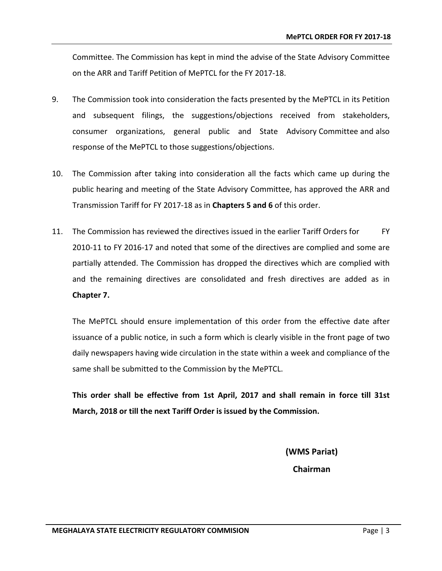Committee. The Commission has kept in mind the advise of the State Advisory Committee on the ARR and Tariff Petition of MePTCL for the FY 2017-18.

- 9. The Commission took into consideration the facts presented by the MePTCL in its Petition and subsequent filings, the suggestions/objections received from stakeholders, consumer organizations, general public and State Advisory Committee and also response of the MePTCL to those suggestions/objections.
- 10. The Commission after taking into consideration all the facts which came up during the public hearing and meeting of the State Advisory Committee, has approved the ARR and Transmission Tariff for FY 2017-18 as in **Chapters 5 and 6** of this order.
- 11. The Commission has reviewed the directives issued in the earlier Tariff Orders for FY 2010-11 to FY 2016-17 and noted that some of the directives are complied and some are partially attended. The Commission has dropped the directives which are complied with and the remaining directives are consolidated and fresh directives are added as in **Chapter 7.**

The MePTCL should ensure implementation of this order from the effective date after issuance of a public notice, in such a form which is clearly visible in the front page of two daily newspapers having wide circulation in the state within a week and compliance of the same shall be submitted to the Commission by the MePTCL.

**This order shall be effective from 1st April, 2017 and shall remain in force till 31st March, 2018 or till the next Tariff Order is issued by the Commission.**

> **(WMS Pariat) Chairman**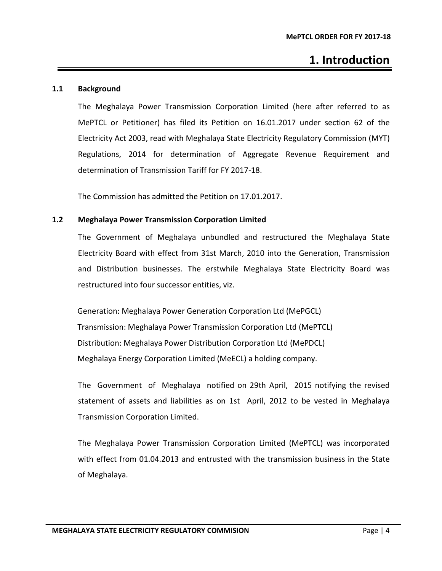# **1. Introduction**

## <span id="page-9-1"></span><span id="page-9-0"></span>**1.1 Background**

The Meghalaya Power Transmission Corporation Limited (here after referred to as MePTCL or Petitioner) has filed its Petition on 16.01.2017 under section 62 of the Electricity Act 2003, read with Meghalaya State Electricity Regulatory Commission (MYT) Regulations, 2014 for determination of Aggregate Revenue Requirement and determination of Transmission Tariff for FY 2017-18.

The Commission has admitted the Petition on 17.01.2017.

## <span id="page-9-2"></span>**1.2 Meghalaya Power Transmission Corporation Limited**

The Government of Meghalaya unbundled and restructured the Meghalaya State Electricity Board with effect from 31st March, 2010 into the Generation, Transmission and Distribution businesses. The erstwhile Meghalaya State Electricity Board was restructured into four successor entities, viz.

Generation: Meghalaya Power Generation Corporation Ltd (MePGCL) Transmission: Meghalaya Power Transmission Corporation Ltd (MePTCL) Distribution: Meghalaya Power Distribution Corporation Ltd (MePDCL) Meghalaya Energy Corporation Limited (MeECL) a holding company.

The Government of Meghalaya notified on 29th April, 2015 notifying the revised statement of assets and liabilities as on 1st April, 2012 to be vested in Meghalaya Transmission Corporation Limited.

The Meghalaya Power Transmission Corporation Limited (MePTCL) was incorporated with effect from 01.04.2013 and entrusted with the transmission business in the State of Meghalaya.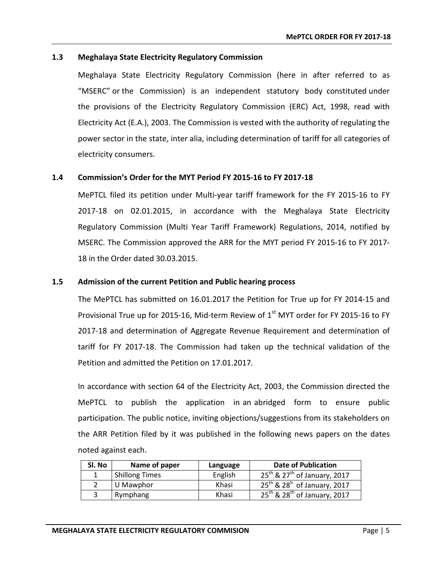## <span id="page-10-0"></span>**1.3 Meghalaya State Electricity Regulatory Commission**

Meghalaya State Electricity Regulatory Commission (here in after referred to as "MSERC" or the Commission) is an independent statutory body constituted under the provisions of the Electricity Regulatory Commission (ERC) Act, 1998, read with Electricity Act (E.A.), 2003. The Commission is vested with the authority of regulating the power sector in the state, inter alia, including determination of tariff for all categories of electricity consumers.

## <span id="page-10-1"></span>**1.4 Commission's Order for the MYT Period FY 2015-16 to FY 2017-18**

MePTCL filed its petition under Multi-year tariff framework for the FY 2015-16 to FY 2017-18 on 02.01.2015, in accordance with the Meghalaya State Electricity Regulatory Commission (Multi Year Tariff Framework) Regulations, 2014, notified by MSERC. The Commission approved the ARR for the MYT period FY 2015-16 to FY 2017- 18 in the Order dated 30.03.2015.

## <span id="page-10-2"></span>**1.5 Admission of the current Petition and Public hearing process**

The MePTCL has submitted on 16.01.2017 the Petition for True up for FY 2014-15 and Provisional True up for 2015-16, Mid-term Review of  $1<sup>st</sup>$  MYT order for FY 2015-16 to FY 2017-18 and determination of Aggregate Revenue Requirement and determination of tariff for FY 2017-18. The Commission had taken up the technical validation of the Petition and admitted the Petition on 17.01.2017.

In accordance with section 64 of the Electricity Act, 2003, the Commission directed the MePTCL to publish the application in an abridged form to ensure public participation. The public notice, inviting objections/suggestions from its stakeholders on the ARR Petition filed by it was published in the following news papers on the dates noted against each.

| Sl. No | Name of paper         | Language | <b>Date of Publication</b>                    |
|--------|-----------------------|----------|-----------------------------------------------|
|        | <b>Shillong Times</b> | English  | $25^{th}$ & 27 <sup>th</sup> of January, 2017 |
|        | U Mawphor             | Khasi    | $25^{th}$ & 28 <sup>h</sup> of January, 2017  |
|        | Rymphang              | Khasi    | $25^{th}$ & $28^{th}$ of January, 2017        |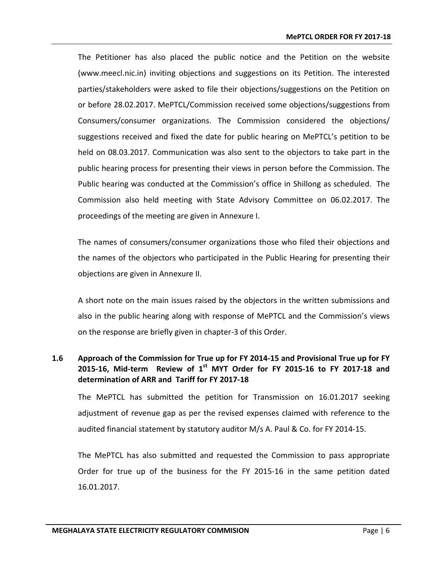The Petitioner has also placed the public notice and the Petition on the website [\(www.meecl.nic.in\)](http://www.meecl.nic.in) inviting objections and suggestions on its Petition. The interested parties/stakeholders were asked to file their objections/suggestions on the Petition on or before 28.02.2017. MePTCL/Commission received some objections/suggestions from Consumers/consumer organizations. The Commission considered the objections/ suggestions received and fixed the date for public hearing on MePTCL's petition to be held on 08.03.2017. Communication was also sent to the objectors to take part in the public hearing process for presenting their views in person before the Commission. The Public hearing was conducted at the Commission's office in Shillong as scheduled. The Commission also held meeting with State Advisory Committee on 06.02.2017. The proceedings of the meeting are given in Annexure I.

The names of consumers/consumer organizations those who filed their objections and the names of the objectors who participated in the Public Hearing for presenting their objections are given in Annexure II.

A short note on the main issues raised by the objectors in the written submissions and also in the public hearing along with response of MePTCL and the Commission's views on the response are briefly given in chapter-3 of this Order.

## <span id="page-11-0"></span>**1.6 Approach of the Commission for True up for FY 2014-15 and Provisional True up for FY 2015-16, Mid-term Review of 1st MYT Order for FY 2015-16 to FY 2017-18 and determination of ARR and Tariff for FY 2017-18**

The MePTCL has submitted the petition for Transmission on 16.01.2017 seeking adjustment of revenue gap as per the revised expenses claimed with reference to the audited financial statement by statutory auditor M/s A. Paul & Co. for FY 2014-15.

The MePTCL has also submitted and requested the Commission to pass appropriate Order for true up of the business for the FY 2015-16 in the same petition dated 16.01.2017.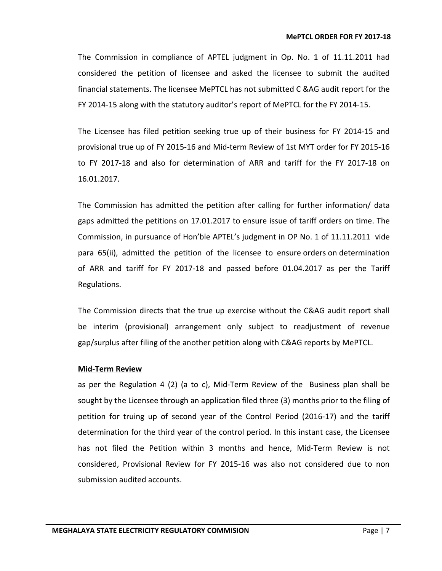The Commission in compliance of APTEL judgment in Op. No. 1 of 11.11.2011 had considered the petition of licensee and asked the licensee to submit the audited financial statements. The licensee MePTCL has not submitted C &AG audit report for the FY 2014-15 along with the statutory auditor's report of MePTCL for the FY 2014-15.

The Licensee has filed petition seeking true up of their business for FY 2014-15 and provisional true up of FY 2015-16 and Mid-term Review of 1st MYT order for FY 2015-16 to FY 2017-18 and also for determination of ARR and tariff for the FY 2017-18 on 16.01.2017.

The Commission has admitted the petition after calling for further information/ data gaps admitted the petitions on 17.01.2017 to ensure issue of tariff orders on time. The Commission, in pursuance of Hon'ble APTEL's judgment in OP No. 1 of 11.11.2011 vide para 65(ii), admitted the petition of the licensee to ensure orders on determination of ARR and tariff for FY 2017-18 and passed before 01.04.2017 as per the Tariff Regulations.

The Commission directs that the true up exercise without the C&AG audit report shall be interim (provisional) arrangement only subject to readjustment of revenue gap/surplus after filing of the another petition along with C&AG reports by MePTCL.

## **Mid-Term Review**

as per the Regulation 4 (2) (a to c), Mid-Term Review of the Business plan shall be sought by the Licensee through an application filed three (3) months prior to the filing of petition for truing up of second year of the Control Period (2016-17) and the tariff determination for the third year of the control period. In this instant case, the Licensee has not filed the Petition within 3 months and hence, Mid-Term Review is not considered, Provisional Review for FY 2015-16 was also not considered due to non submission audited accounts.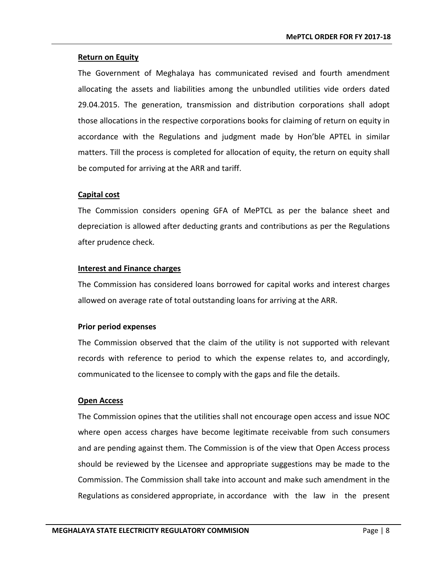## **Return on Equity**

The Government of Meghalaya has communicated revised and fourth amendment allocating the assets and liabilities among the unbundled utilities vide orders dated 29.04.2015. The generation, transmission and distribution corporations shall adopt those allocations in the respective corporations books for claiming of return on equity in accordance with the Regulations and judgment made by Hon'ble APTEL in similar matters. Till the process is completed for allocation of equity, the return on equity shall be computed for arriving at the ARR and tariff.

## **Capital cost**

The Commission considers opening GFA of MePTCL as per the balance sheet and depreciation is allowed after deducting grants and contributions as per the Regulations after prudence check.

## **Interest and Finance charges**

The Commission has considered loans borrowed for capital works and interest charges allowed on average rate of total outstanding loans for arriving at the ARR.

#### **Prior period expenses**

The Commission observed that the claim of the utility is not supported with relevant records with reference to period to which the expense relates to, and accordingly, communicated to the licensee to comply with the gaps and file the details.

## **Open Access**

The Commission opines that the utilities shall not encourage open access and issue NOC where open access charges have become legitimate receivable from such consumers and are pending against them. The Commission is of the view that Open Access process should be reviewed by the Licensee and appropriate suggestions may be made to the Commission. The Commission shall take into account and make such amendment in the Regulations as considered appropriate, in accordance with the law in the present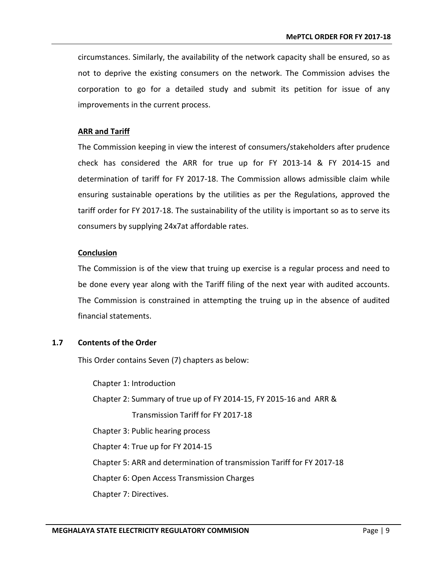circumstances. Similarly, the availability of the network capacity shall be ensured, so as not to deprive the existing consumers on the network. The Commission advises the corporation to go for a detailed study and submit its petition for issue of any improvements in the current process.

## **ARR and Tariff**

The Commission keeping in view the interest of consumers/stakeholders after prudence check has considered the ARR for true up for FY 2013-14 & FY 2014-15 and determination of tariff for FY 2017-18. The Commission allows admissible claim while ensuring sustainable operations by the utilities as per the Regulations, approved the tariff order for FY 2017-18. The sustainability of the utility is important so as to serve its consumers by supplying 24x7at affordable rates.

## **Conclusion**

The Commission is of the view that truing up exercise is a regular process and need to be done every year along with the Tariff filing of the next year with audited accounts. The Commission is constrained in attempting the truing up in the absence of audited financial statements.

## <span id="page-14-0"></span>**1.7 Contents of the Order**

This Order contains Seven (7) chapters as below:

Chapter 1: Introduction Chapter 2: Summary of true up of FY 2014-15, FY 2015-16 and ARR & Transmission Tariff for FY 2017-18 Chapter 3: Public hearing process Chapter 4: True up for FY 2014-15 Chapter 5: ARR and determination of transmission Tariff for FY 2017-18 Chapter 6: Open Access Transmission Charges Chapter 7: Directives.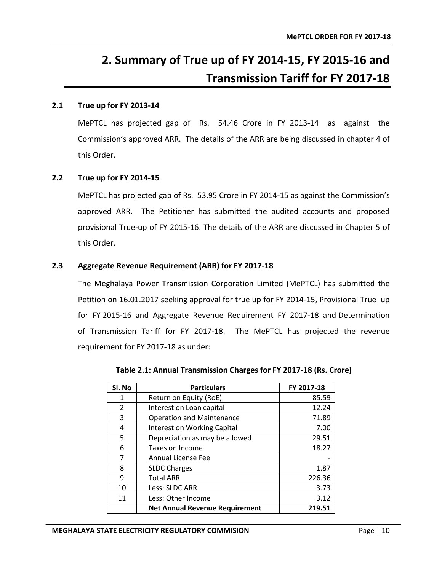# **2. Summary of True up of FY 2014-15, FY 2015-16 and Transmission Tariff for FY 2017-18**

## <span id="page-15-1"></span><span id="page-15-0"></span>**2.1 True up for FY 2013-14**

MePTCL has projected gap of Rs. 54.46 Crore in FY 2013-14 as against the Commission's approved ARR. The details of the ARR are being discussed in chapter 4 of this Order.

## <span id="page-15-2"></span>**2.2 True up for FY 2014-15**

MePTCL has projected gap of Rs. 53.95 Crore in FY 2014-15 as against the Commission's approved ARR. The Petitioner has submitted the audited accounts and proposed provisional True-up of FY 2015-16. The details of the ARR are discussed in Chapter 5 of this Order.

## <span id="page-15-3"></span>**2.3 Aggregate Revenue Requirement (ARR) for FY 2017-18**

The Meghalaya Power Transmission Corporation Limited (MePTCL) has submitted the Petition on 16.01.2017 seeking approval for true up for FY 2014-15, Provisional True up for FY 2015-16 and Aggregate Revenue Requirement FY 2017-18 and Determination of Transmission Tariff for FY 2017-18. The MePTCL has projected the revenue requirement for FY 2017-18 as under:

<span id="page-15-4"></span>

| Sl. No        | <b>Particulars</b>                    | FY 2017-18 |
|---------------|---------------------------------------|------------|
| 1             | Return on Equity (RoE)                | 85.59      |
| $\mathcal{P}$ | Interest on Loan capital              | 12.24      |
| 3             | <b>Operation and Maintenance</b>      | 71.89      |
| 4             | <b>Interest on Working Capital</b>    | 7.00       |
| 5             | Depreciation as may be allowed        | 29.51      |
| 6             | Taxes on Income                       | 18.27      |
| 7             | Annual License Fee                    |            |
| 8             | <b>SLDC Charges</b>                   | 1.87       |
| 9             | <b>Total ARR</b>                      | 226.36     |
| 10            | Less: SLDC ARR                        | 3.73       |
| 11            | Less: Other Income                    | 3.12       |
|               | <b>Net Annual Revenue Requirement</b> | 219.51     |

**Table 2.1: Annual Transmission Charges for FY 2017-18 (Rs. Crore)**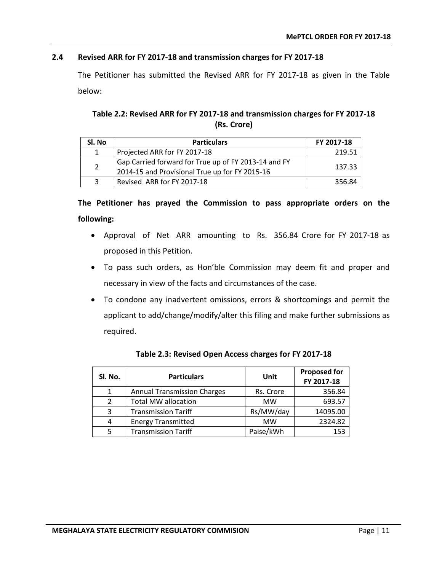## <span id="page-16-0"></span>**2.4 Revised ARR for FY 2017-18 and transmission charges for FY 2017-18**

The Petitioner has submitted the Revised ARR for FY 2017-18 as given in the Table below:

## **Table 2.2: Revised ARR for FY 2017-18 and transmission charges for FY 2017-18 (Rs. Crore)**

<span id="page-16-1"></span>

| SI. No         | <b>Particulars</b>                                                                                     | FY 2017-18 |
|----------------|--------------------------------------------------------------------------------------------------------|------------|
| $\mathbf{1}$   | Projected ARR for FY 2017-18                                                                           | 219.51     |
| $\overline{2}$ | Gap Carried forward for True up of FY 2013-14 and FY<br>2014-15 and Provisional True up for FY 2015-16 | 137.33     |
| 3              | Revised ARR for FY 2017-18                                                                             | 356.84     |

**The Petitioner has prayed the Commission to pass appropriate orders on the following:**

- Approval of Net ARR amounting to Rs. 356.84 Crore for FY 2017-18 as proposed in this Petition.
- To pass such orders, as Hon'ble Commission may deem fit and proper and necessary in view of the facts and circumstances of the case.
- To condone any inadvertent omissions, errors & shortcomings and permit the applicant to add/change/modify/alter this filing and make further submissions as required.

<span id="page-16-2"></span>

| SI. No.       | <b>Particulars</b>                 | Unit      | <b>Proposed for</b><br>FY 2017-18 |
|---------------|------------------------------------|-----------|-----------------------------------|
| 1             | <b>Annual Transmission Charges</b> | Rs. Crore | 356.84                            |
| $\mathcal{P}$ | <b>Total MW allocation</b>         | <b>MW</b> | 693.57                            |
| 3             | <b>Transmission Tariff</b>         | Rs/MW/day | 14095.00                          |
| 4             | <b>Energy Transmitted</b>          | <b>MW</b> | 2324.82                           |
|               | <b>Transmission Tariff</b>         | Paise/kWh | 153                               |

**Table 2.3: Revised Open Access charges for FY 2017-18**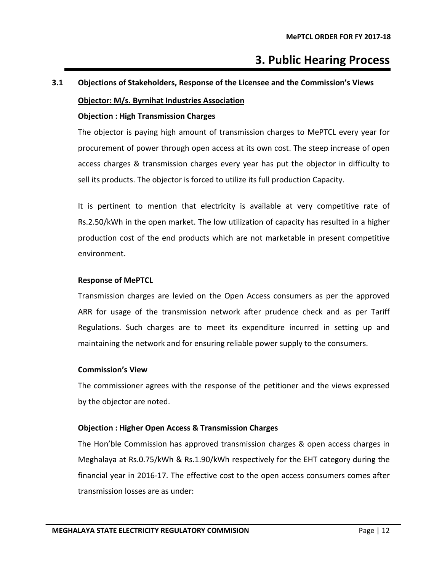# **3. Public Hearing Process**

# <span id="page-17-1"></span><span id="page-17-0"></span>**3.1 Objections of Stakeholders, Response of the Licensee and the Commission's Views**

## **Objector: M/s. Byrnihat Industries Association**

## **Objection : High Transmission Charges**

The objector is paying high amount of transmission charges to MePTCL every year for procurement of power through open access at its own cost. The steep increase of open access charges & transmission charges every year has put the objector in difficulty to sell its products. The objector is forced to utilize its full production Capacity.

It is pertinent to mention that electricity is available at very competitive rate of Rs.2.50/kWh in the open market. The low utilization of capacity has resulted in a higher production cost of the end products which are not marketable in present competitive environment.

## **Response of MePTCL**

Transmission charges are levied on the Open Access consumers as per the approved ARR for usage of the transmission network after prudence check and as per Tariff Regulations. Such charges are to meet its expenditure incurred in setting up and maintaining the network and for ensuring reliable power supply to the consumers.

#### **Commission's View**

The commissioner agrees with the response of the petitioner and the views expressed by the objector are noted.

## **Objection : Higher Open Access & Transmission Charges**

The Hon'ble Commission has approved transmission charges & open access charges in Meghalaya at Rs.0.75/kWh & Rs.1.90/kWh respectively for the EHT category during the financial year in 2016-17. The effective cost to the open access consumers comes after transmission losses are as under: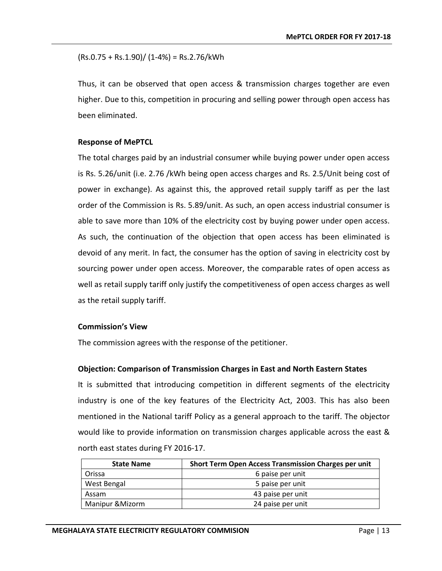$(Rs.0.75 + Rs.1.90) / (1-4%) = Rs.2.76 / kWh$ 

Thus, it can be observed that open access & transmission charges together are even higher. Due to this, competition in procuring and selling power through open access has been eliminated.

## **Response of MePTCL**

The total charges paid by an industrial consumer while buying power under open access is Rs. 5.26/unit (i.e. 2.76 /kWh being open access charges and Rs. 2.5/Unit being cost of power in exchange). As against this, the approved retail supply tariff as per the last order of the Commission is Rs. 5.89/unit. As such, an open access industrial consumer is able to save more than 10% of the electricity cost by buying power under open access. As such, the continuation of the objection that open access has been eliminated is devoid of any merit. In fact, the consumer has the option of saving in electricity cost by sourcing power under open access. Moreover, the comparable rates of open access as well as retail supply tariff only justify the competitiveness of open access charges as well as the retail supply tariff.

## **Commission's View**

The commission agrees with the response of the petitioner.

## **Objection: Comparison of Transmission Charges in East and North Eastern States**

It is submitted that introducing competition in different segments of the electricity industry is one of the key features of the Electricity Act, 2003. This has also been mentioned in the National tariff Policy as a general approach to the tariff. The objector would like to provide information on transmission charges applicable across the east & north east states during FY 2016-17.

| <b>State Name</b>          | <b>Short Term Open Access Transmission Charges per unit</b> |
|----------------------------|-------------------------------------------------------------|
| Orissa                     | 6 paise per unit                                            |
| West Bengal                | 5 paise per unit                                            |
| Assam                      | 43 paise per unit                                           |
| <b>Manipur &amp;Mizorm</b> | 24 paise per unit                                           |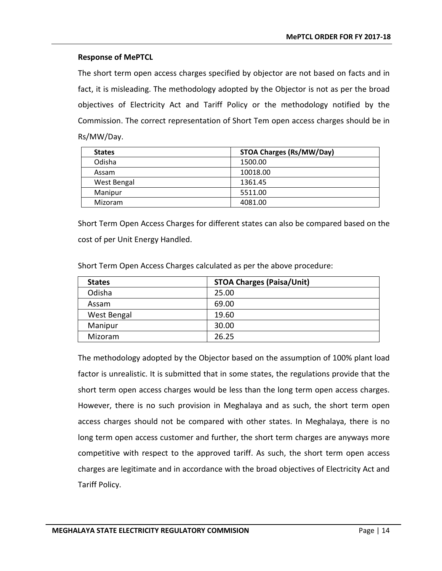The short term open access charges specified by objector are not based on facts and in fact, it is misleading. The methodology adopted by the Objector is not as per the broad objectives of Electricity Act and Tariff Policy or the methodology notified by the Commission. The correct representation of Short Tem open access charges should be in Rs/MW/Day.

| <b>States</b> | <b>STOA Charges (Rs/MW/Day)</b> |
|---------------|---------------------------------|
| Odisha        | 1500.00                         |
| Assam         | 10018.00                        |
| West Bengal   | 1361.45                         |
| Manipur       | 5511.00                         |
| Mizoram       | 4081.00                         |

Short Term Open Access Charges for different states can also be compared based on the cost of per Unit Energy Handled.

| <b>States</b> | <b>STOA Charges (Paisa/Unit)</b> |
|---------------|----------------------------------|
| Odisha        | 25.00                            |
| Assam         | 69.00                            |
| West Bengal   | 19.60                            |
| Manipur       | 30.00                            |
| Mizoram       | 26.25                            |

Short Term Open Access Charges calculated as per the above procedure:

The methodology adopted by the Objector based on the assumption of 100% plant load factor is unrealistic. It is submitted that in some states, the regulations provide that the short term open access charges would be less than the long term open access charges. However, there is no such provision in Meghalaya and as such, the short term open access charges should not be compared with other states. In Meghalaya, there is no long term open access customer and further, the short term charges are anyways more competitive with respect to the approved tariff. As such, the short term open access charges are legitimate and in accordance with the broad objectives of Electricity Act and Tariff Policy.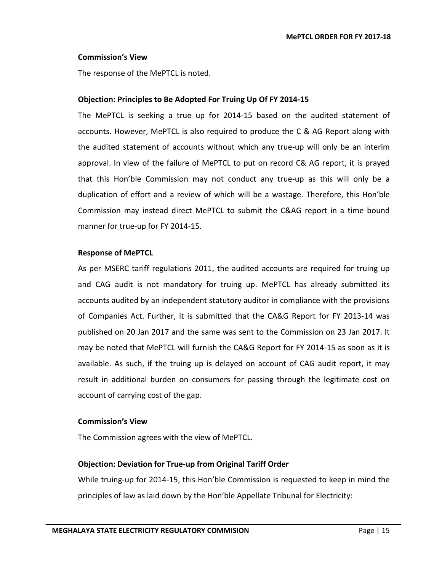#### **Commission's View**

The response of the MePTCL is noted.

## **Objection: Principles to Be Adopted For Truing Up Of FY 2014-15**

The MePTCL is seeking a true up for 2014-15 based on the audited statement of accounts. However, MePTCL is also required to produce the C & AG Report along with the audited statement of accounts without which any true-up will only be an interim approval. In view of the failure of MePTCL to put on record C& AG report, it is prayed that this Hon'ble Commission may not conduct any true-up as this will only be a duplication of effort and a review of which will be a wastage. Therefore, this Hon'ble Commission may instead direct MePTCL to submit the C&AG report in a time bound manner for true-up for FY 2014-15.

## **Response of MePTCL**

As per MSERC tariff regulations 2011, the audited accounts are required for truing up and CAG audit is not mandatory for truing up. MePTCL has already submitted its accounts audited by an independent statutory auditor in compliance with the provisions of Companies Act. Further, it is submitted that the CA&G Report for FY 2013-14 was published on 20 Jan 2017 and the same was sent to the Commission on 23 Jan 2017. It may be noted that MePTCL will furnish the CA&G Report for FY 2014-15 as soon as it is available. As such, if the truing up is delayed on account of CAG audit report, it may result in additional burden on consumers for passing through the legitimate cost on account of carrying cost of the gap.

#### **Commission's View**

The Commission agrees with the view of MePTCL.

## **Objection: Deviation for True-up from Original Tariff Order**

While truing-up for 2014-15, this Hon'ble Commission is requested to keep in mind the principles of law as laid down by the Hon'ble Appellate Tribunal for Electricity: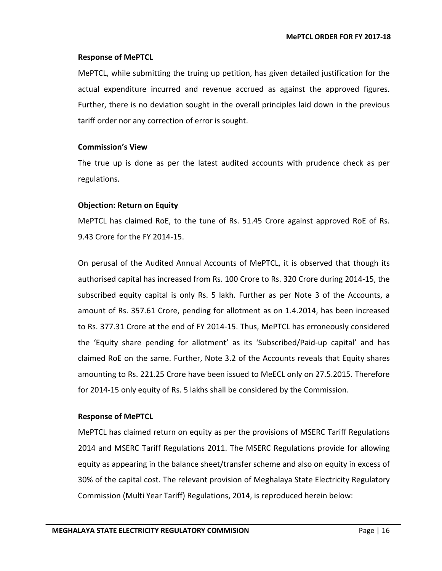MePTCL, while submitting the truing up petition, has given detailed justification for the actual expenditure incurred and revenue accrued as against the approved figures. Further, there is no deviation sought in the overall principles laid down in the previous tariff order nor any correction of error is sought.

## **Commission's View**

The true up is done as per the latest audited accounts with prudence check as per regulations.

## **Objection: Return on Equity**

MePTCL has claimed RoE, to the tune of Rs. 51.45 Crore against approved RoE of Rs. 9.43 Crore for the FY 2014-15.

On perusal of the Audited Annual Accounts of MePTCL, it is observed that though its authorised capital has increased from Rs. 100 Crore to Rs. 320 Crore during 2014-15, the subscribed equity capital is only Rs. 5 lakh. Further as per Note 3 of the Accounts, a amount of Rs. 357.61 Crore, pending for allotment as on 1.4.2014, has been increased to Rs. 377.31 Crore at the end of FY 2014-15. Thus, MePTCL has erroneously considered the 'Equity share pending for allotment' as its 'Subscribed/Paid-up capital' and has claimed RoE on the same. Further, Note 3.2 of the Accounts reveals that Equity shares amounting to Rs. 221.25 Crore have been issued to MeECL only on 27.5.2015. Therefore for 2014-15 only equity of Rs. 5 lakhs shall be considered by the Commission.

## **Response of MePTCL**

MePTCL has claimed return on equity as per the provisions of MSERC Tariff Regulations 2014 and MSERC Tariff Regulations 2011. The MSERC Regulations provide for allowing equity as appearing in the balance sheet/transfer scheme and also on equity in excess of 30% of the capital cost. The relevant provision of Meghalaya State Electricity Regulatory Commission (Multi Year Tariff) Regulations, 2014, is reproduced herein below: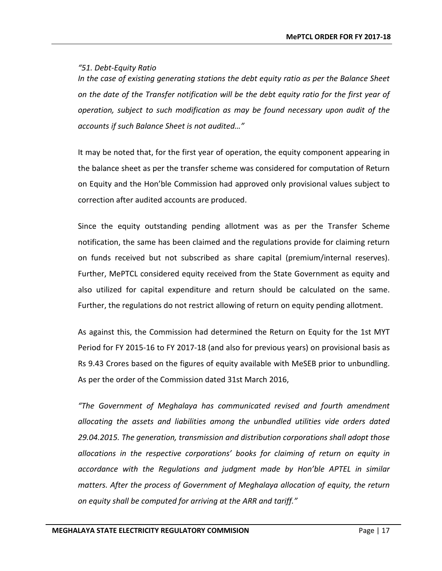## *"51. Debt-Equity Ratio*

*In the case of existing generating stations the debt equity ratio as per the Balance Sheet on the date of the Transfer notification will be the debt equity ratio for the first year of operation, subject to such modification as may be found necessary upon audit of the accounts if such Balance Sheet is not audited…"*

It may be noted that, for the first year of operation, the equity component appearing in the balance sheet as per the transfer scheme was considered for computation of Return on Equity and the Hon'ble Commission had approved only provisional values subject to correction after audited accounts are produced.

Since the equity outstanding pending allotment was as per the Transfer Scheme notification, the same has been claimed and the regulations provide for claiming return on funds received but not subscribed as share capital (premium/internal reserves). Further, MePTCL considered equity received from the State Government as equity and also utilized for capital expenditure and return should be calculated on the same. Further, the regulations do not restrict allowing of return on equity pending allotment.

As against this, the Commission had determined the Return on Equity for the 1st MYT Period for FY 2015-16 to FY 2017-18 (and also for previous years) on provisional basis as Rs 9.43 Crores based on the figures of equity available with MeSEB prior to unbundling. As per the order of the Commission dated 31st March 2016,

*"The Government of Meghalaya has communicated revised and fourth amendment allocating the assets and liabilities among the unbundled utilities vide orders dated 29.04.2015. The generation, transmission and distribution corporations shall adopt those allocations in the respective corporations' books for claiming of return on equity in accordance with the Regulations and judgment made by Hon'ble APTEL in similar matters. After the process of Government of Meghalaya allocation of equity, the return on equity shall be computed for arriving at the ARR and tariff."*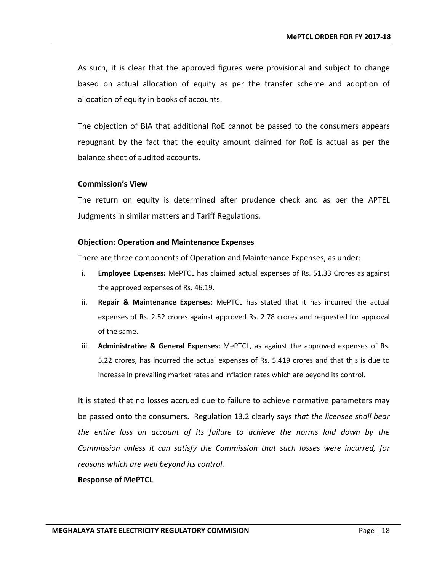As such, it is clear that the approved figures were provisional and subject to change based on actual allocation of equity as per the transfer scheme and adoption of allocation of equity in books of accounts.

The objection of BIA that additional RoE cannot be passed to the consumers appears repugnant by the fact that the equity amount claimed for RoE is actual as per the balance sheet of audited accounts.

## **Commission's View**

The return on equity is determined after prudence check and as per the APTEL Judgments in similar matters and Tariff Regulations.

## **Objection: Operation and Maintenance Expenses**

There are three components of Operation and Maintenance Expenses, as under:

- i. **Employee Expenses:** MePTCL has claimed actual expenses of Rs. 51.33 Crores as against the approved expenses of Rs. 46.19.
- ii. **Repair & Maintenance Expenses**: MePTCL has stated that it has incurred the actual expenses of Rs. 2.52 crores against approved Rs. 2.78 crores and requested for approval of the same.
- iii. **Administrative & General Expenses:** MePTCL, as against the approved expenses of Rs. 5.22 crores, has incurred the actual expenses of Rs. 5.419 crores and that this is due to increase in prevailing market rates and inflation rates which are beyond its control.

It is stated that no losses accrued due to failure to achieve normative parameters may be passed onto the consumers. Regulation 13.2 clearly says *that the licensee shall bear the entire loss on account of its failure to achieve the norms laid down by the Commission unless it can satisfy the Commission that such losses were incurred, for reasons which are well beyond its control.* 

#### **Response of MePTCL**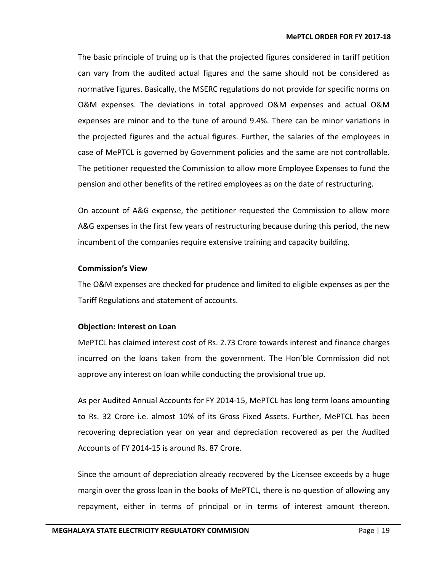The basic principle of truing up is that the projected figures considered in tariff petition can vary from the audited actual figures and the same should not be considered as normative figures. Basically, the MSERC regulations do not provide for specific norms on O&M expenses. The deviations in total approved O&M expenses and actual O&M expenses are minor and to the tune of around 9.4%. There can be minor variations in the projected figures and the actual figures. Further, the salaries of the employees in case of MePTCL is governed by Government policies and the same are not controllable. The petitioner requested the Commission to allow more Employee Expenses to fund the pension and other benefits of the retired employees as on the date of restructuring.

On account of A&G expense, the petitioner requested the Commission to allow more A&G expenses in the first few years of restructuring because during this period, the new incumbent of the companies require extensive training and capacity building.

## **Commission's View**

The O&M expenses are checked for prudence and limited to eligible expenses as per the Tariff Regulations and statement of accounts.

## **Objection: Interest on Loan**

MePTCL has claimed interest cost of Rs. 2.73 Crore towards interest and finance charges incurred on the loans taken from the government. The Hon'ble Commission did not approve any interest on loan while conducting the provisional true up.

As per Audited Annual Accounts for FY 2014-15, MePTCL has long term loans amounting to Rs. 32 Crore i.e. almost 10% of its Gross Fixed Assets. Further, MePTCL has been recovering depreciation year on year and depreciation recovered as per the Audited Accounts of FY 2014-15 is around Rs. 87 Crore.

Since the amount of depreciation already recovered by the Licensee exceeds by a huge margin over the gross loan in the books of MePTCL, there is no question of allowing any repayment, either in terms of principal or in terms of interest amount thereon.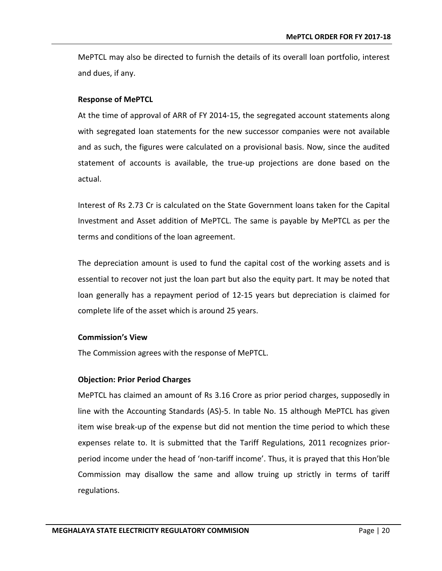MePTCL may also be directed to furnish the details of its overall loan portfolio, interest and dues, if any.

## **Response of MePTCL**

At the time of approval of ARR of FY 2014-15, the segregated account statements along with segregated loan statements for the new successor companies were not available and as such, the figures were calculated on a provisional basis. Now, since the audited statement of accounts is available, the true-up projections are done based on the actual.

Interest of Rs 2.73 Cr is calculated on the State Government loans taken for the Capital Investment and Asset addition of MePTCL. The same is payable by MePTCL as per the terms and conditions of the loan agreement.

The depreciation amount is used to fund the capital cost of the working assets and is essential to recover not just the loan part but also the equity part. It may be noted that loan generally has a repayment period of 12-15 years but depreciation is claimed for complete life of the asset which is around 25 years.

## **Commission's View**

The Commission agrees with the response of MePTCL.

## **Objection: Prior Period Charges**

MePTCL has claimed an amount of Rs 3.16 Crore as prior period charges, supposedly in line with the Accounting Standards (AS)-5. In table No. 15 although MePTCL has given item wise break-up of the expense but did not mention the time period to which these expenses relate to. It is submitted that the Tariff Regulations, 2011 recognizes priorperiod income under the head of 'non-tariff income'. Thus, it is prayed that this Hon'ble Commission may disallow the same and allow truing up strictly in terms of tariff regulations.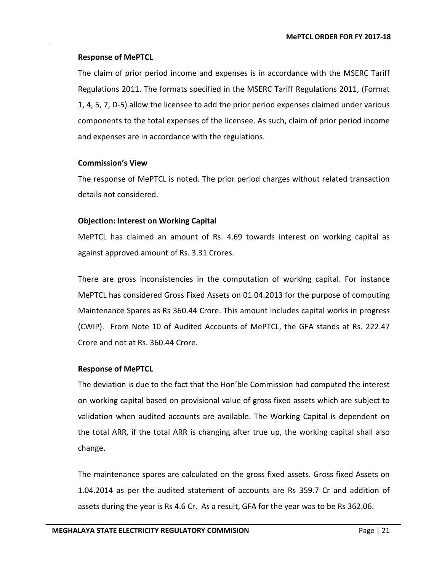The claim of prior period income and expenses is in accordance with the MSERC Tariff Regulations 2011. The formats specified in the MSERC Tariff Regulations 2011, (Format 1, 4, 5, 7, D-5) allow the licensee to add the prior period expenses claimed under various components to the total expenses of the licensee. As such, claim of prior period income and expenses are in accordance with the regulations.

## **Commission's View**

The response of MePTCL is noted. The prior period charges without related transaction details not considered.

## **Objection: Interest on Working Capital**

MePTCL has claimed an amount of Rs. 4.69 towards interest on working capital as against approved amount of Rs. 3.31 Crores.

There are gross inconsistencies in the computation of working capital. For instance MePTCL has considered Gross Fixed Assets on 01.04.2013 for the purpose of computing Maintenance Spares as Rs 360.44 Crore. This amount includes capital works in progress (CWIP). From Note 10 of Audited Accounts of MePTCL, the GFA stands at Rs. 222.47 Crore and not at Rs. 360.44 Crore.

## **Response of MePTCL**

The deviation is due to the fact that the Hon'ble Commission had computed the interest on working capital based on provisional value of gross fixed assets which are subject to validation when audited accounts are available. The Working Capital is dependent on the total ARR, if the total ARR is changing after true up, the working capital shall also change.

The maintenance spares are calculated on the gross fixed assets. Gross fixed Assets on 1.04.2014 as per the audited statement of accounts are Rs 359.7 Cr and addition of assets during the year is Rs 4.6 Cr. As a result, GFA for the year was to be Rs 362.06.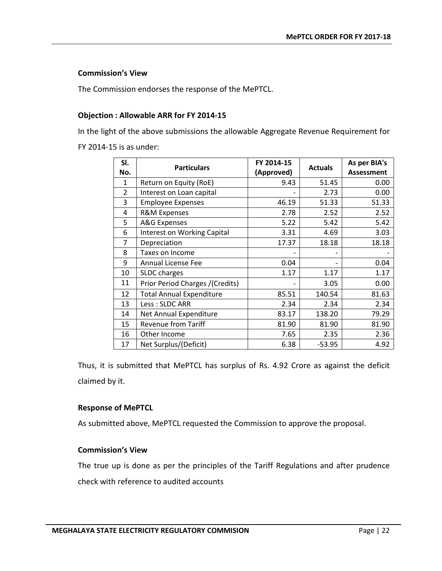## **Commission's View**

The Commission endorses the response of the MePTCL.

## **Objection : Allowable ARR for FY 2014-15**

In the light of the above submissions the allowable Aggregate Revenue Requirement for FY 2014-15 is as under:

| SI. | <b>Particulars</b>                 | FY 2014-15 | <b>Actuals</b> | As per BIA's      |
|-----|------------------------------------|------------|----------------|-------------------|
| No. |                                    | (Approved) |                | <b>Assessment</b> |
| 1   | Return on Equity (RoE)             | 9.43       | 51.45          | 0.00              |
| 2   | Interest on Loan capital           |            | 2.73           | 0.00              |
| 3   | <b>Employee Expenses</b>           | 46.19      | 51.33          | 51.33             |
| 4   | <b>R&amp;M Expenses</b>            | 2.78       | 2.52           | 2.52              |
| 5   | <b>A&amp;G Expenses</b>            | 5.22       | 5.42           | 5.42              |
| 6   | <b>Interest on Working Capital</b> | 3.31       | 4.69           | 3.03              |
| 7   | Depreciation                       | 17.37      | 18.18          | 18.18             |
| 8   | Taxes on Income                    |            |                |                   |
| 9   | <b>Annual License Fee</b>          | 0.04       |                | 0.04              |
| 10  | SLDC charges                       | 1.17       | 1.17           | 1.17              |
| 11  | Prior Period Charges /(Credits)    |            | 3.05           | 0.00              |
| 12  | <b>Total Annual Expenditure</b>    | 85.51      | 140.54         | 81.63             |
| 13  | Less: SLDC ARR                     | 2.34       | 2.34           | 2.34              |
| 14  | Net Annual Expenditure             | 83.17      | 138.20         | 79.29             |
| 15  | <b>Revenue from Tariff</b>         | 81.90      | 81.90          | 81.90             |
| 16  | Other Income                       | 7.65       | 2.35           | 2.36              |
| 17  | Net Surplus/(Deficit)              | 6.38       | $-53.95$       | 4.92              |

Thus, it is submitted that MePTCL has surplus of Rs. 4.92 Crore as against the deficit claimed by it.

#### **Response of MePTCL**

As submitted above, MePTCL requested the Commission to approve the proposal.

## **Commission's View**

The true up is done as per the principles of the Tariff Regulations and after prudence check with reference to audited accounts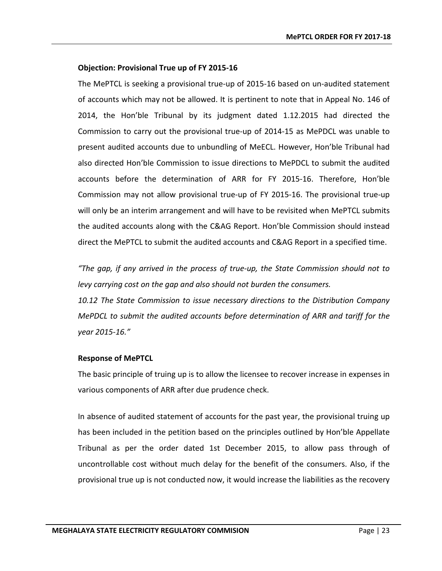## **Objection: Provisional True up of FY 2015-16**

The MePTCL is seeking a provisional true-up of 2015-16 based on un-audited statement of accounts which may not be allowed. It is pertinent to note that in Appeal No. 146 of 2014, the Hon'ble Tribunal by its judgment dated 1.12.2015 had directed the Commission to carry out the provisional true-up of 2014-15 as MePDCL was unable to present audited accounts due to unbundling of MeECL. However, Hon'ble Tribunal had also directed Hon'ble Commission to issue directions to MePDCL to submit the audited accounts before the determination of ARR for FY 2015-16. Therefore, Hon'ble Commission may not allow provisional true-up of FY 2015-16. The provisional true-up will only be an interim arrangement and will have to be revisited when MePTCL submits the audited accounts along with the C&AG Report. Hon'ble Commission should instead direct the MePTCL to submit the audited accounts and C&AG Report in a specified time.

*"The gap, if any arrived in the process of true-up, the State Commission should not to levy carrying cost on the gap and also should not burden the consumers.* 

*10.12 The State Commission to issue necessary directions to the Distribution Company MePDCL to submit the audited accounts before determination of ARR and tariff for the year 2015-16."* 

## **Response of MePTCL**

The basic principle of truing up is to allow the licensee to recover increase in expenses in various components of ARR after due prudence check.

In absence of audited statement of accounts for the past year, the provisional truing up has been included in the petition based on the principles outlined by Hon'ble Appellate Tribunal as per the order dated 1st December 2015, to allow pass through of uncontrollable cost without much delay for the benefit of the consumers. Also, if the provisional true up is not conducted now, it would increase the liabilities as the recovery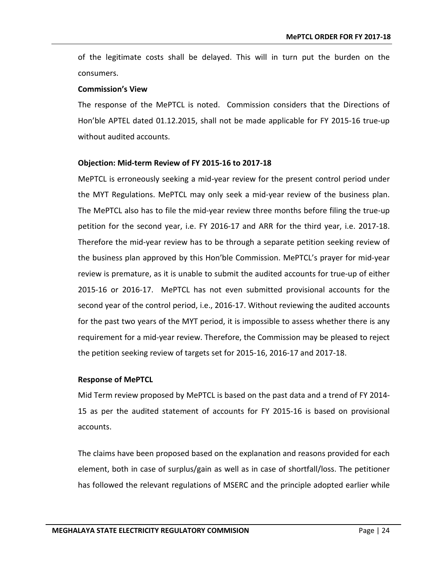of the legitimate costs shall be delayed. This will in turn put the burden on the consumers.

## **Commission's View**

The response of the MePTCL is noted. Commission considers that the Directions of Hon'ble APTEL dated 01.12.2015, shall not be made applicable for FY 2015-16 true-up without audited accounts.

## **Objection: Mid-term Review of FY 2015-16 to 2017-18**

MePTCL is erroneously seeking a mid-year review for the present control period under the MYT Regulations. MePTCL may only seek a mid-year review of the business plan. The MePTCL also has to file the mid-year review three months before filing the true-up petition for the second year, i.e. FY 2016-17 and ARR for the third year, i.e. 2017-18. Therefore the mid-year review has to be through a separate petition seeking review of the business plan approved by this Hon'ble Commission. MePTCL's prayer for mid-year review is premature, as it is unable to submit the audited accounts for true-up of either 2015-16 or 2016-17. MePTCL has not even submitted provisional accounts for the second year of the control period, i.e., 2016-17. Without reviewing the audited accounts for the past two years of the MYT period, it is impossible to assess whether there is any requirement for a mid-year review. Therefore, the Commission may be pleased to reject the petition seeking review of targets set for 2015-16, 2016-17 and 2017-18.

## **Response of MePTCL**

Mid Term review proposed by MePTCL is based on the past data and a trend of FY 2014- 15 as per the audited statement of accounts for FY 2015-16 is based on provisional accounts.

The claims have been proposed based on the explanation and reasons provided for each element, both in case of surplus/gain as well as in case of shortfall/loss. The petitioner has followed the relevant regulations of MSERC and the principle adopted earlier while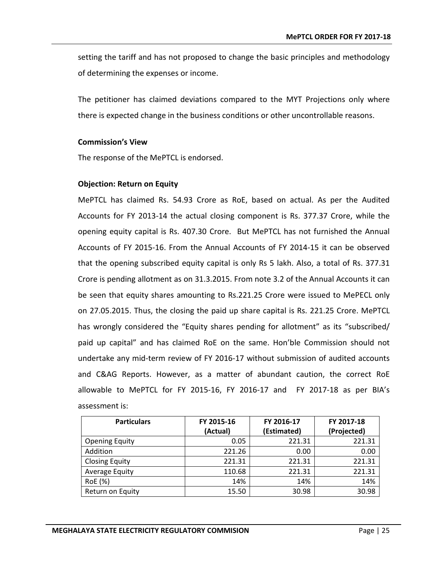setting the tariff and has not proposed to change the basic principles and methodology of determining the expenses or income.

The petitioner has claimed deviations compared to the MYT Projections only where there is expected change in the business conditions or other uncontrollable reasons.

#### **Commission's View**

The response of the MePTCL is endorsed.

## **Objection: Return on Equity**

MePTCL has claimed Rs. 54.93 Crore as RoE, based on actual. As per the Audited Accounts for FY 2013-14 the actual closing component is Rs. 377.37 Crore, while the opening equity capital is Rs. 407.30 Crore. But MePTCL has not furnished the Annual Accounts of FY 2015-16. From the Annual Accounts of FY 2014-15 it can be observed that the opening subscribed equity capital is only Rs 5 lakh. Also, a total of Rs. 377.31 Crore is pending allotment as on 31.3.2015. From note 3.2 of the Annual Accounts it can be seen that equity shares amounting to Rs.221.25 Crore were issued to MePECL only on 27.05.2015. Thus, the closing the paid up share capital is Rs. 221.25 Crore. MePTCL has wrongly considered the "Equity shares pending for allotment" as its "subscribed/ paid up capital" and has claimed RoE on the same. Hon'ble Commission should not undertake any mid-term review of FY 2016-17 without submission of audited accounts and C&AG Reports. However, as a matter of abundant caution, the correct RoE allowable to MePTCL for FY 2015-16, FY 2016-17 and FY 2017-18 as per BIA's assessment is:

| <b>Particulars</b>    | FY 2015-16 | FY 2016-17  | FY 2017-18  |
|-----------------------|------------|-------------|-------------|
|                       | (Actual)   | (Estimated) | (Projected) |
| <b>Opening Equity</b> | 0.05       | 221.31      | 221.31      |
| Addition              | 221.26     | 0.00        | 0.00        |
| <b>Closing Equity</b> | 221.31     | 221.31      | 221.31      |
| Average Equity        | 110.68     | 221.31      | 221.31      |
| RoE (%)               | 14%        | 14%         | 14%         |
| Return on Equity      | 15.50      | 30.98       | 30.98       |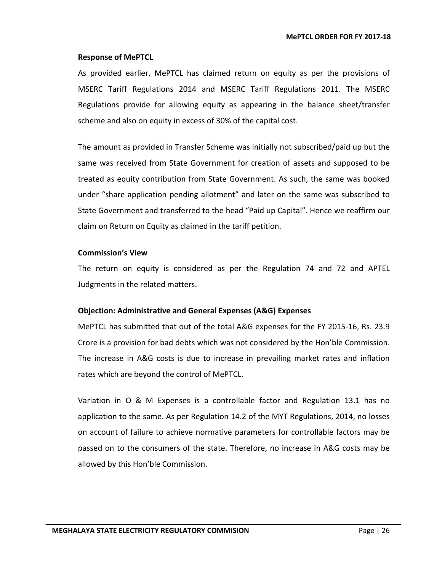As provided earlier, MePTCL has claimed return on equity as per the provisions of MSERC Tariff Regulations 2014 and MSERC Tariff Regulations 2011. The MSERC Regulations provide for allowing equity as appearing in the balance sheet/transfer scheme and also on equity in excess of 30% of the capital cost.

The amount as provided in Transfer Scheme was initially not subscribed/paid up but the same was received from State Government for creation of assets and supposed to be treated as equity contribution from State Government. As such, the same was booked under "share application pending allotment" and later on the same was subscribed to State Government and transferred to the head "Paid up Capital". Hence we reaffirm our claim on Return on Equity as claimed in the tariff petition.

## **Commission's View**

The return on equity is considered as per the Regulation 74 and 72 and APTEL Judgments in the related matters.

## **Objection: Administrative and General Expenses (A&G) Expenses**

MePTCL has submitted that out of the total A&G expenses for the FY 2015-16, Rs. 23.9 Crore is a provision for bad debts which was not considered by the Hon'ble Commission. The increase in A&G costs is due to increase in prevailing market rates and inflation rates which are beyond the control of MePTCL.

Variation in O & M Expenses is a controllable factor and Regulation 13.1 has no application to the same. As per Regulation 14.2 of the MYT Regulations, 2014, no losses on account of failure to achieve normative parameters for controllable factors may be passed on to the consumers of the state. Therefore, no increase in A&G costs may be allowed by this Hon'ble Commission.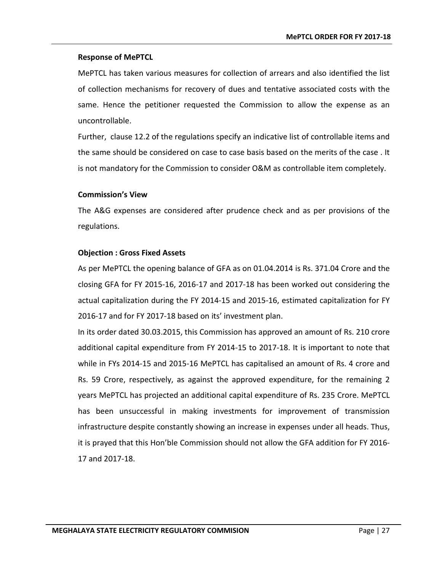MePTCL has taken various measures for collection of arrears and also identified the list of collection mechanisms for recovery of dues and tentative associated costs with the same. Hence the petitioner requested the Commission to allow the expense as an uncontrollable.

Further, clause 12.2 of the regulations specify an indicative list of controllable items and the same should be considered on case to case basis based on the merits of the case . It is not mandatory for the Commission to consider O&M as controllable item completely.

## **Commission's View**

The A&G expenses are considered after prudence check and as per provisions of the regulations.

## **Objection : Gross Fixed Assets**

As per MePTCL the opening balance of GFA as on 01.04.2014 is Rs. 371.04 Crore and the closing GFA for FY 2015-16, 2016-17 and 2017-18 has been worked out considering the actual capitalization during the FY 2014-15 and 2015-16, estimated capitalization for FY 2016-17 and for FY 2017-18 based on its' investment plan.

In its order dated 30.03.2015, this Commission has approved an amount of Rs. 210 crore additional capital expenditure from FY 2014-15 to 2017-18. It is important to note that while in FYs 2014-15 and 2015-16 MePTCL has capitalised an amount of Rs. 4 crore and Rs. 59 Crore, respectively, as against the approved expenditure, for the remaining 2 years MePTCL has projected an additional capital expenditure of Rs. 235 Crore. MePTCL has been unsuccessful in making investments for improvement of transmission infrastructure despite constantly showing an increase in expenses under all heads. Thus, it is prayed that this Hon'ble Commission should not allow the GFA addition for FY 2016- 17 and 2017-18.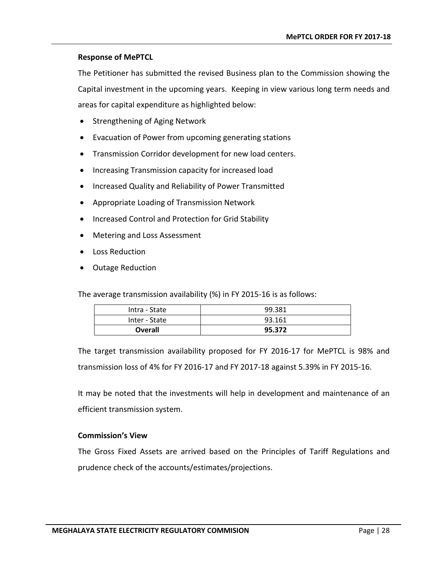The Petitioner has submitted the revised Business plan to the Commission showing the Capital investment in the upcoming years. Keeping in view various long term needs and areas for capital expenditure as highlighted below:

- Strengthening of Aging Network
- Evacuation of Power from upcoming generating stations
- Transmission Corridor development for new load centers.
- Increasing Transmission capacity for increased load
- Increased Quality and Reliability of Power Transmitted
- Appropriate Loading of Transmission Network
- Increased Control and Protection for Grid Stability
- Metering and Loss Assessment
- Loss Reduction
- Outage Reduction

The average transmission availability (%) in FY 2015-16 is as follows:

| Intra - State | 99.381 |
|---------------|--------|
| Inter - State | 93.161 |
| Overall       | 95.372 |

The target transmission availability proposed for FY 2016-17 for MePTCL is 98% and transmission loss of 4% for FY 2016-17 and FY 2017-18 against 5.39% in FY 2015-16.

It may be noted that the investments will help in development and maintenance of an efficient transmission system.

## **Commission's View**

The Gross Fixed Assets are arrived based on the Principles of Tariff Regulations and prudence check of the accounts/estimates/projections.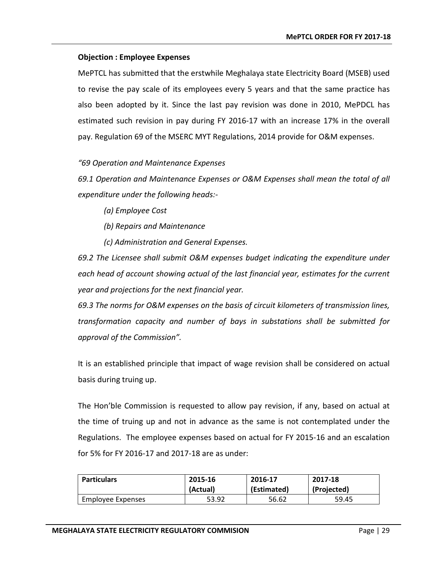## **Objection : Employee Expenses**

MePTCL has submitted that the erstwhile Meghalaya state Electricity Board (MSEB) used to revise the pay scale of its employees every 5 years and that the same practice has also been adopted by it. Since the last pay revision was done in 2010, MePDCL has estimated such revision in pay during FY 2016-17 with an increase 17% in the overall pay. Regulation 69 of the MSERC MYT Regulations, 2014 provide for O&M expenses.

## *"69 Operation and Maintenance Expenses*

*69.1 Operation and Maintenance Expenses or O&M Expenses shall mean the total of all expenditure under the following heads:-*

*(a) Employee Cost*

*(b) Repairs and Maintenance*

*(c) Administration and General Expenses.*

*69.2 The Licensee shall submit O&M expenses budget indicating the expenditure under each head of account showing actual of the last financial year, estimates for the current year and projections for the next financial year.*

*69.3 The norms for O&M expenses on the basis of circuit kilometers of transmission lines, transformation capacity and number of bays in substations shall be submitted for approval of the Commission".*

It is an established principle that impact of wage revision shall be considered on actual basis during truing up.

The Hon'ble Commission is requested to allow pay revision, if any, based on actual at the time of truing up and not in advance as the same is not contemplated under the Regulations. The employee expenses based on actual for FY 2015-16 and an escalation for 5% for FY 2016-17 and 2017-18 are as under:

| <b>Particulars</b> | 2015-16  | 2016-17     | 2017-18     |
|--------------------|----------|-------------|-------------|
|                    | (Actual) | (Estimated) | (Projected) |
| Employee Expenses  | 53.92    | 56.62       | 59.45       |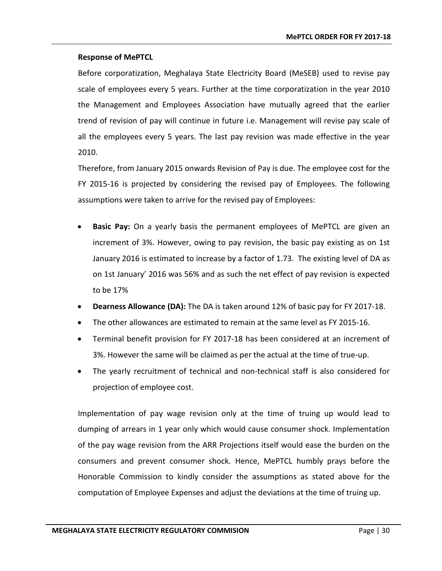Before corporatization, Meghalaya State Electricity Board (MeSEB) used to revise pay scale of employees every 5 years. Further at the time corporatization in the year 2010 the Management and Employees Association have mutually agreed that the earlier trend of revision of pay will continue in future i.e. Management will revise pay scale of all the employees every 5 years. The last pay revision was made effective in the year 2010.

Therefore, from January 2015 onwards Revision of Pay is due. The employee cost for the FY 2015-16 is projected by considering the revised pay of Employees. The following assumptions were taken to arrive for the revised pay of Employees:

- **Basic Pay:** On a yearly basis the permanent employees of MePTCL are given an increment of 3%. However, owing to pay revision, the basic pay existing as on 1st January 2016 is estimated to increase by a factor of 1.73. The existing level of DA as on 1st January' 2016 was 56% and as such the net effect of pay revision is expected to be 17%
- **Dearness Allowance (DA):** The DA is taken around 12% of basic pay for FY 2017-18.
- The other allowances are estimated to remain at the same level as FY 2015-16.
- Terminal benefit provision for FY 2017-18 has been considered at an increment of 3%. However the same will be claimed as per the actual at the time of true-up.
- The yearly recruitment of technical and non-technical staff is also considered for projection of employee cost.

Implementation of pay wage revision only at the time of truing up would lead to dumping of arrears in 1 year only which would cause consumer shock. Implementation of the pay wage revision from the ARR Projections itself would ease the burden on the consumers and prevent consumer shock. Hence, MePTCL humbly prays before the Honorable Commission to kindly consider the assumptions as stated above for the computation of Employee Expenses and adjust the deviations at the time of truing up.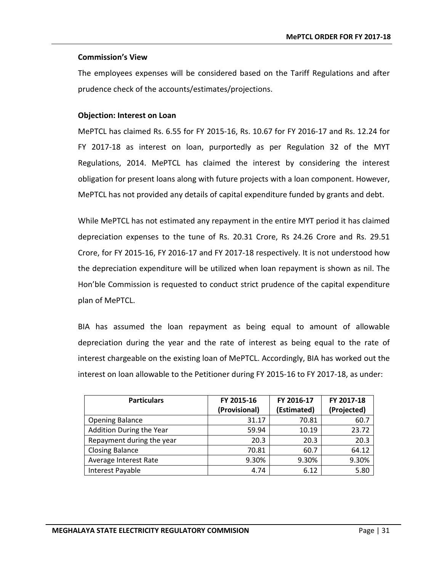## **Commission's View**

The employees expenses will be considered based on the Tariff Regulations and after prudence check of the accounts/estimates/projections.

## **Objection: Interest on Loan**

MePTCL has claimed Rs. 6.55 for FY 2015-16, Rs. 10.67 for FY 2016-17 and Rs. 12.24 for FY 2017-18 as interest on loan, purportedly as per Regulation 32 of the MYT Regulations, 2014. MePTCL has claimed the interest by considering the interest obligation for present loans along with future projects with a loan component. However, MePTCL has not provided any details of capital expenditure funded by grants and debt.

While MePTCL has not estimated any repayment in the entire MYT period it has claimed depreciation expenses to the tune of Rs. 20.31 Crore, Rs 24.26 Crore and Rs. 29.51 Crore, for FY 2015-16, FY 2016-17 and FY 2017-18 respectively. It is not understood how the depreciation expenditure will be utilized when loan repayment is shown as nil. The Hon'ble Commission is requested to conduct strict prudence of the capital expenditure plan of MePTCL.

BIA has assumed the loan repayment as being equal to amount of allowable depreciation during the year and the rate of interest as being equal to the rate of interest chargeable on the existing loan of MePTCL. Accordingly, BIA has worked out the interest on loan allowable to the Petitioner during FY 2015-16 to FY 2017-18, as under:

| <b>Particulars</b>        | FY 2015-16    | FY 2016-17  | FY 2017-18  |
|---------------------------|---------------|-------------|-------------|
|                           | (Provisional) | (Estimated) | (Projected) |
| <b>Opening Balance</b>    | 31.17         | 70.81       | 60.7        |
| Addition During the Year  | 59.94         | 10.19       | 23.72       |
| Repayment during the year | 20.3          | 20.3        | 20.3        |
| <b>Closing Balance</b>    | 70.81         | 60.7        | 64.12       |
| Average Interest Rate     | 9.30%         | 9.30%       | 9.30%       |
| Interest Payable          | 4.74          | 6.12        | 5.80        |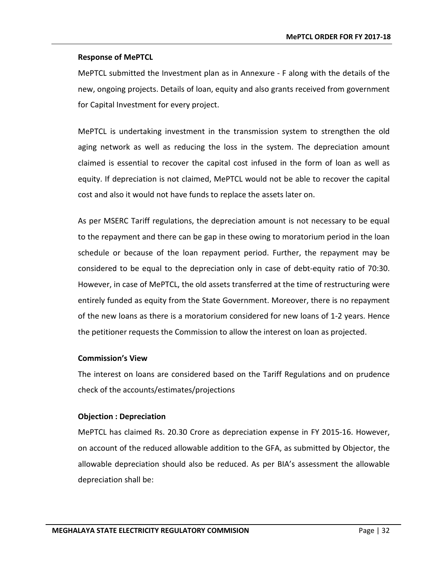MePTCL submitted the Investment plan as in Annexure - F along with the details of the new, ongoing projects. Details of loan, equity and also grants received from government for Capital Investment for every project.

MePTCL is undertaking investment in the transmission system to strengthen the old aging network as well as reducing the loss in the system. The depreciation amount claimed is essential to recover the capital cost infused in the form of loan as well as equity. If depreciation is not claimed, MePTCL would not be able to recover the capital cost and also it would not have funds to replace the assets later on.

As per MSERC Tariff regulations, the depreciation amount is not necessary to be equal to the repayment and there can be gap in these owing to moratorium period in the loan schedule or because of the loan repayment period. Further, the repayment may be considered to be equal to the depreciation only in case of debt-equity ratio of 70:30. However, in case of MePTCL, the old assets transferred at the time of restructuring were entirely funded as equity from the State Government. Moreover, there is no repayment of the new loans as there is a moratorium considered for new loans of 1-2 years. Hence the petitioner requests the Commission to allow the interest on loan as projected.

#### **Commission's View**

The interest on loans are considered based on the Tariff Regulations and on prudence check of the accounts/estimates/projections

## **Objection : Depreciation**

MePTCL has claimed Rs. 20.30 Crore as depreciation expense in FY 2015-16. However, on account of the reduced allowable addition to the GFA, as submitted by Objector, the allowable depreciation should also be reduced. As per BIA's assessment the allowable depreciation shall be: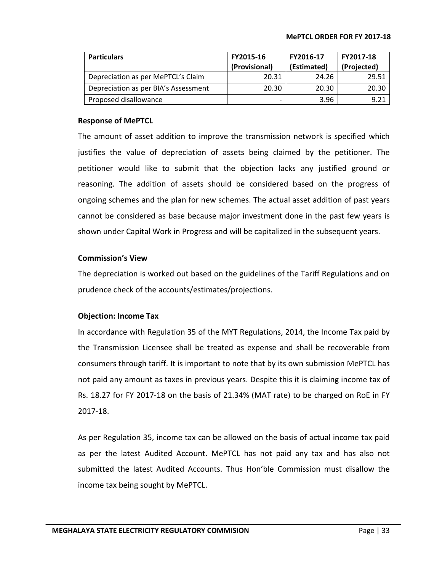| <b>Particulars</b>                   | FY2015-16     | FY2016-17   | FY2017-18   |
|--------------------------------------|---------------|-------------|-------------|
|                                      | (Provisional) | (Estimated) | (Projected) |
| Depreciation as per MePTCL's Claim   | 20.31         | 24.26       | 29.51       |
| Depreciation as per BIA's Assessment | 20.30         | 20.30       | 20.30       |
| Proposed disallowance                | -             | 3.96        | 9.21        |

The amount of asset addition to improve the transmission network is specified which justifies the value of depreciation of assets being claimed by the petitioner. The petitioner would like to submit that the objection lacks any justified ground or reasoning. The addition of assets should be considered based on the progress of ongoing schemes and the plan for new schemes. The actual asset addition of past years cannot be considered as base because major investment done in the past few years is shown under Capital Work in Progress and will be capitalized in the subsequent years.

#### **Commission's View**

The depreciation is worked out based on the guidelines of the Tariff Regulations and on prudence check of the accounts/estimates/projections.

#### **Objection: Income Tax**

In accordance with Regulation 35 of the MYT Regulations, 2014, the Income Tax paid by the Transmission Licensee shall be treated as expense and shall be recoverable from consumers through tariff. It is important to note that by its own submission MePTCL has not paid any amount as taxes in previous years. Despite this it is claiming income tax of Rs. 18.27 for FY 2017-18 on the basis of 21.34% (MAT rate) to be charged on RoE in FY 2017-18.

As per Regulation 35, income tax can be allowed on the basis of actual income tax paid as per the latest Audited Account. MePTCL has not paid any tax and has also not submitted the latest Audited Accounts. Thus Hon'ble Commission must disallow the income tax being sought by MePTCL.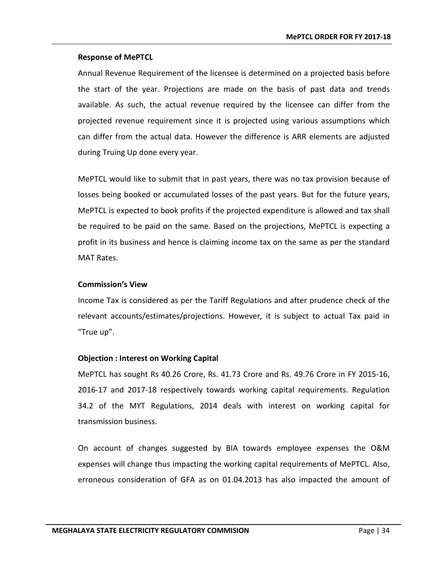Annual Revenue Requirement of the licensee is determined on a projected basis before the start of the year. Projections are made on the basis of past data and trends available. As such, the actual revenue required by the licensee can differ from the projected revenue requirement since it is projected using various assumptions which can differ from the actual data. However the difference is ARR elements are adjusted during Truing Up done every year.

MePTCL would like to submit that in past years, there was no tax provision because of losses being booked or accumulated losses of the past years. But for the future years, MePTCL is expected to book profits if the projected expenditure is allowed and tax shall be required to be paid on the same. Based on the projections, MePTCL is expecting a profit in its business and hence is claiming income tax on the same as per the standard MAT Rates.

## **Commission's View**

Income Tax is considered as per the Tariff Regulations and after prudence check of the relevant accounts/estimates/projections. However, it is subject to actual Tax paid in "True up".

## **Objection : Interest on Working Capital**

MePTCL has sought Rs 40.26 Crore, Rs. 41.73 Crore and Rs. 49.76 Crore in FY 2015-16, 2016-17 and 2017-18 respectively towards working capital requirements. Regulation 34.2 of the MYT Regulations, 2014 deals with interest on working capital for transmission business.

On account of changes suggested by BIA towards employee expenses the O&M expenses will change thus impacting the working capital requirements of MePTCL. Also, erroneous consideration of GFA as on 01.04.2013 has also impacted the amount of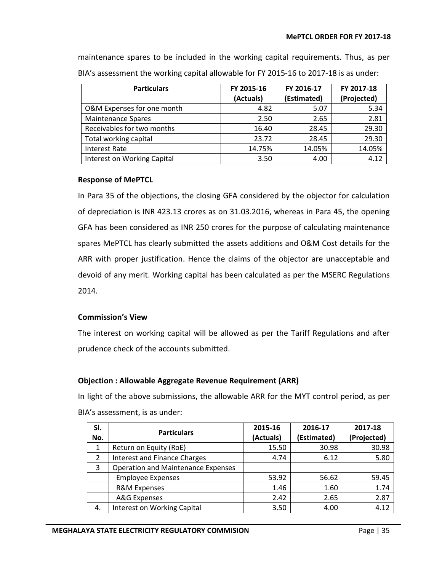**Particulars FY 2015-16 (Actuals) FY 2016-17 (Estimated) FY 2017-18 (Projected)** O&M Expenses for one month  $\overline{a}$  a.82  $\overline{b}$  5.07  $\overline{c}$  5.34 Maintenance Spares **2.65** 2.81

Receivables for two months  $16.40$   $28.45$   $29.30$ Total working capital  $\vert$  23.72  $\vert$  28.45  $\vert$  29.30 Interest Rate 14.75% 14.05% 14.05% Interest on Working Capital  $\begin{array}{|c|c|c|c|c|c|c|c|c|} \hline \end{array}$  3.50  $\begin{array}{|c|c|c|c|c|c|c|c|} \hline \end{array}$  4.12

maintenance spares to be included in the working capital requirements. Thus, as per BIA's assessment the working capital allowable for FY 2015-16 to 2017-18 is as under:

## **Response of MePTCL**

In Para 35 of the objections, the closing GFA considered by the objector for calculation of depreciation is INR 423.13 crores as on 31.03.2016, whereas in Para 45, the opening GFA has been considered as INR 250 crores for the purpose of calculating maintenance spares MePTCL has clearly submitted the assets additions and O&M Cost details for the ARR with proper justification. Hence the claims of the objector are unacceptable and devoid of any merit. Working capital has been calculated as per the MSERC Regulations 2014.

## **Commission's View**

The interest on working capital will be allowed as per the Tariff Regulations and after prudence check of the accounts submitted.

## **Objection : Allowable Aggregate Revenue Requirement (ARR)**

In light of the above submissions, the allowable ARR for the MYT control period, as per BIA's assessment, is as under:

| SI.           | <b>Particulars</b>                        | 2015-16   | 2016-17     | 2017-18     |
|---------------|-------------------------------------------|-----------|-------------|-------------|
| No.           |                                           | (Actuals) | (Estimated) | (Projected) |
| 1             | Return on Equity (RoE)                    | 15.50     | 30.98       | 30.98       |
| $\mathcal{P}$ | <b>Interest and Finance Charges</b>       | 4.74      | 6.12        | 5.80        |
| 3             | <b>Operation and Maintenance Expenses</b> |           |             |             |
|               | <b>Employee Expenses</b>                  | 53.92     | 56.62       | 59.45       |
|               | <b>R&amp;M Expenses</b>                   | 1.46      | 1.60        | 1.74        |
|               | A&G Expenses                              | 2.42      | 2.65        | 2.87        |
| 4.            | <b>Interest on Working Capital</b>        | 3.50      | 4.00        | 4.12        |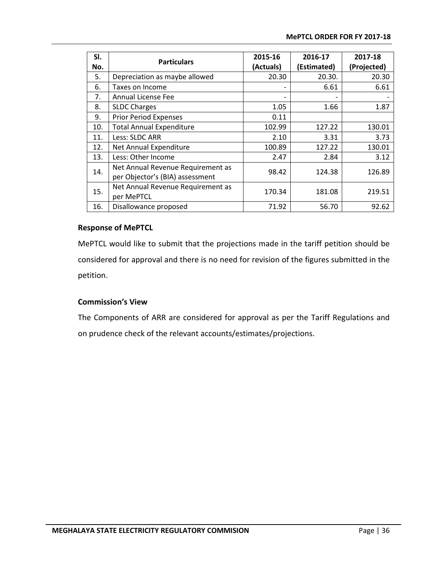| SI. | <b>Particulars</b>                                                   | 2015-16                  | 2016-17     | 2017-18     |
|-----|----------------------------------------------------------------------|--------------------------|-------------|-------------|
| No. |                                                                      | (Actuals)                | (Estimated) | (Projected) |
| 5.  | Depreciation as maybe allowed                                        | 20.30                    | 20.30.      | 20.30       |
| 6.  | Taxes on Income                                                      | $\overline{\phantom{a}}$ | 6.61        | 6.61        |
| 7.  | <b>Annual License Fee</b>                                            | -                        |             |             |
| 8.  | <b>SLDC Charges</b>                                                  | 1.05                     | 1.66        | 1.87        |
| 9.  | <b>Prior Period Expenses</b>                                         | 0.11                     |             |             |
| 10. | <b>Total Annual Expenditure</b>                                      | 102.99                   | 127.22      | 130.01      |
| 11. | Less: SLDC ARR                                                       | 2.10                     | 3.31        | 3.73        |
| 12. | Net Annual Expenditure                                               | 100.89                   | 127.22      | 130.01      |
| 13. | Less: Other Income                                                   | 2.47                     | 2.84        | 3.12        |
| 14. | Net Annual Revenue Requirement as<br>per Objector's (BIA) assessment | 98.42                    | 124.38      | 126.89      |
| 15. | Net Annual Revenue Requirement as<br>per MePTCL                      | 170.34                   | 181.08      | 219.51      |
| 16. | Disallowance proposed                                                | 71.92                    | 56.70       | 92.62       |

MePTCL would like to submit that the projections made in the tariff petition should be considered for approval and there is no need for revision of the figures submitted in the petition.

## **Commission's View**

The Components of ARR are considered for approval as per the Tariff Regulations and on prudence check of the relevant accounts/estimates/projections.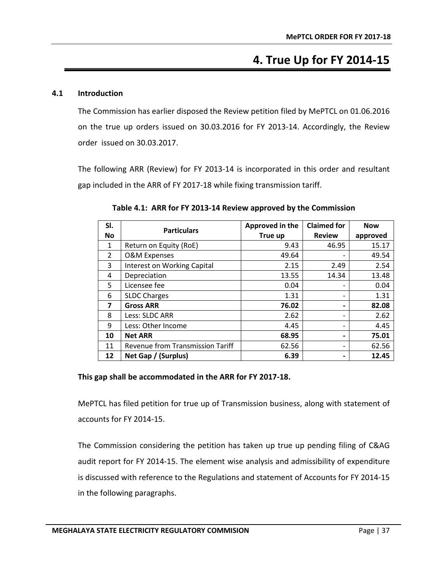# **4. True Up for FY 2014-15**

## <span id="page-42-1"></span><span id="page-42-0"></span>**4.1 Introduction**

The Commission has earlier disposed the Review petition filed by MePTCL on 01.06.2016 on the true up orders issued on 30.03.2016 for FY 2013-14. Accordingly, the Review order issued on 30.03.2017.

<span id="page-42-2"></span>The following ARR (Review) for FY 2013-14 is incorporated in this order and resultant gap included in the ARR of FY 2017-18 while fixing transmission tariff.

| SI.           | <b>Particulars</b>                 | Approved in the | <b>Claimed for</b>       | <b>Now</b> |
|---------------|------------------------------------|-----------------|--------------------------|------------|
| <b>No</b>     |                                    | True up         | <b>Review</b>            | approved   |
| 1             | Return on Equity (RoE)             | 9.43            | 46.95                    | 15.17      |
| $\mathcal{P}$ | <b>O&amp;M Expenses</b>            | 49.64           | -                        | 49.54      |
| 3             | <b>Interest on Working Capital</b> | 2.15            | 2.49                     | 2.54       |
| 4             | Depreciation                       | 13.55           | 14.34                    | 13.48      |
| 5             | Licensee fee                       | 0.04            | $\overline{\phantom{a}}$ | 0.04       |
| 6             | <b>SLDC Charges</b>                | 1.31            | $\overline{a}$           | 1.31       |
| 7             | <b>Gross ARR</b>                   | 76.02           |                          | 82.08      |
| 8             | Less: SLDC ARR                     | 2.62            | $\overline{\phantom{a}}$ | 2.62       |
| 9             | Less: Other Income                 | 4.45            | $\overline{\phantom{a}}$ | 4.45       |
| 10            | <b>Net ARR</b>                     | 68.95           | -                        | 75.01      |
| 11            | Revenue from Transmission Tariff   | 62.56           | $\overline{\phantom{a}}$ | 62.56      |
| 12            | Net Gap / (Surplus)                | 6.39            | $\blacksquare$           | 12.45      |

**Table 4.1: ARR for FY 2013-14 Review approved by the Commission**

## **This gap shall be accommodated in the ARR for FY 2017-18.**

MePTCL has filed petition for true up of Transmission business, along with statement of accounts for FY 2014-15.

The Commission considering the petition has taken up true up pending filing of C&AG audit report for FY 2014-15. The element wise analysis and admissibility of expenditure is discussed with reference to the Regulations and statement of Accounts for FY 2014-15 in the following paragraphs.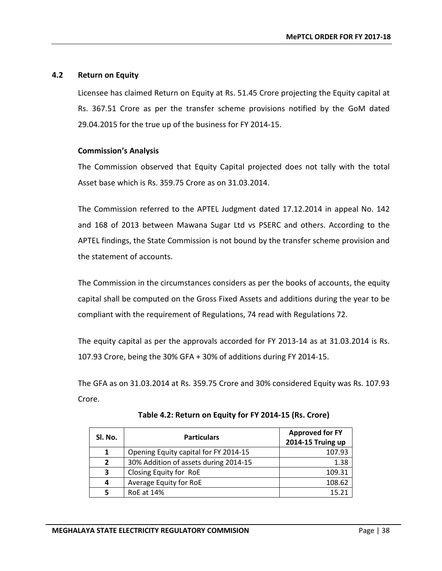## <span id="page-43-0"></span>**4.2 Return on Equity**

Licensee has claimed Return on Equity at Rs. 51.45 Crore projecting the Equity capital at Rs. 367.51 Crore as per the transfer scheme provisions notified by the GoM dated 29.04.2015 for the true up of the business for FY 2014-15.

## **Commission's Analysis**

The Commission observed that Equity Capital projected does not tally with the total Asset base which is Rs. 359.75 Crore as on 31.03.2014.

The Commission referred to the APTEL Judgment dated 17.12.2014 in appeal No. 142 and 168 of 2013 between Mawana Sugar Ltd vs PSERC and others. According to the APTEL findings, the State Commission is not bound by the transfer scheme provision and the statement of accounts.

The Commission in the circumstances considers as per the books of accounts, the equity capital shall be computed on the Gross Fixed Assets and additions during the year to be compliant with the requirement of Regulations, 74 read with Regulations 72.

The equity capital as per the approvals accorded for FY 2013-14 as at 31.03.2014 is Rs. 107.93 Crore, being the 30% GFA + 30% of additions during FY 2014-15.

<span id="page-43-1"></span>The GFA as on 31.03.2014 at Rs. 359.75 Crore and 30% considered Equity was Rs. 107.93 Crore.

| SI. No.        | <b>Particulars</b>                    | <b>Approved for FY</b><br>2014-15 Truing up |
|----------------|---------------------------------------|---------------------------------------------|
| 1              | Opening Equity capital for FY 2014-15 | 107.93                                      |
| $\overline{2}$ | 30% Addition of assets during 2014-15 | 1.38                                        |
| 3              | Closing Equity for RoE                | 109.31                                      |
| 4              | Average Equity for RoE                | 108.62                                      |
|                | RoE at 14%                            | 15.21                                       |

**Table 4.2: Return on Equity for FY 2014-15 (Rs. Crore)**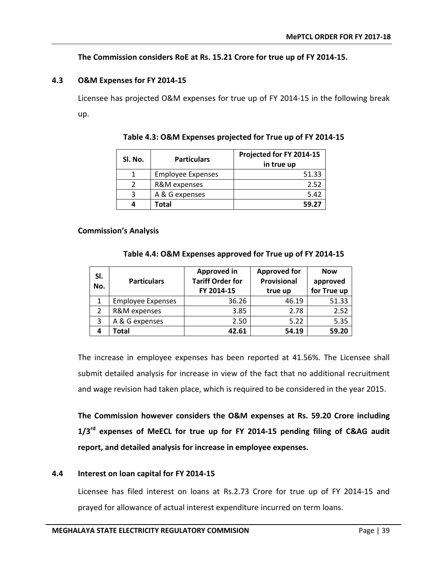## **The Commission considers RoE at Rs. 15.21 Crore for true up of FY 2014-15.**

## <span id="page-44-0"></span>**4.3 O&M Expenses for FY 2014-15**

<span id="page-44-2"></span>Licensee has projected O&M expenses for true up of FY 2014-15 in the following break up.

| Sl. No. | <b>Particulars</b>       | Projected for FY 2014-15<br>in true up |
|---------|--------------------------|----------------------------------------|
|         | <b>Employee Expenses</b> | 51.33                                  |
| っ       | R&M expenses             | 2.52                                   |
| 3       | A & G expenses           | 5.42                                   |
| 4       | Total                    | 59.27                                  |

## **Table 4.3: O&M Expenses projected for True up of FY 2014-15**

#### <span id="page-44-3"></span>**Commission's Analysis**

#### **Table 4.4: O&M Expenses approved for True up of FY 2014-15**

| SI.<br>No. | <b>Particulars</b>       | <b>Approved in</b><br><b>Tariff Order for</b><br>FY 2014-15 | <b>Approved for</b><br>Provisional<br>true up | <b>Now</b><br>approved<br>for True up |
|------------|--------------------------|-------------------------------------------------------------|-----------------------------------------------|---------------------------------------|
| 1          | <b>Employee Expenses</b> | 36.26                                                       | 46.19                                         | 51.33                                 |
| 2          | R&M expenses             | 3.85                                                        | 2.78                                          | 2.52                                  |
| 3          | A & G expenses           | 2.50                                                        | 5.22                                          | 5.35                                  |
| 4          | Total                    | 42.61                                                       | 54.19                                         | 59.20                                 |

The increase in employee expenses has been reported at 41.56%. The Licensee shall submit detailed analysis for increase in view of the fact that no additional recruitment and wage revision had taken place, which is required to be considered in the year 2015.

**The Commission however considers the O&M expenses at Rs. 59.20 Crore including 1/3rd expenses of MeECL for true up for FY 2014-15 pending filing of C&AG audit report, and detailed analysis for increase in employee expenses.**

## <span id="page-44-1"></span>**4.4 Interest on loan capital for FY 2014-15**

Licensee has filed interest on loans at Rs.2.73 Crore for true up of FY 2014-15 and prayed for allowance of actual interest expenditure incurred on term loans.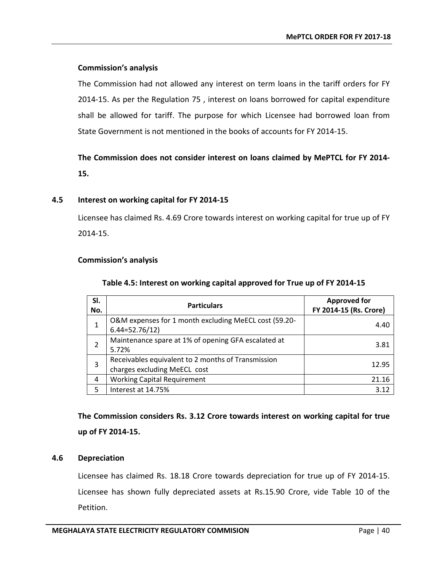## **Commission's analysis**

The Commission had not allowed any interest on term loans in the tariff orders for FY 2014-15. As per the Regulation 75 , interest on loans borrowed for capital expenditure shall be allowed for tariff. The purpose for which Licensee had borrowed loan from State Government is not mentioned in the books of accounts for FY 2014-15.

## **The Commission does not consider interest on loans claimed by MePTCL for FY 2014- 15.**

## <span id="page-45-0"></span>**4.5 Interest on working capital for FY 2014-15**

Licensee has claimed Rs. 4.69 Crore towards interest on working capital for true up of FY 2014-15.

## <span id="page-45-2"></span>**Commission's analysis**

| SI.<br>No. | <b>Particulars</b>                                                                 | <b>Approved for</b><br>FY 2014-15 (Rs. Crore) |
|------------|------------------------------------------------------------------------------------|-----------------------------------------------|
|            | O&M expenses for 1 month excluding MeECL cost (59.20-<br>$6.44=52.76/12$           | 4.40                                          |
|            | Maintenance spare at 1% of opening GFA escalated at<br>5.72%                       | 3.81                                          |
| 3          | Receivables equivalent to 2 months of Transmission<br>charges excluding MeECL cost | 12.95                                         |
| 4          | <b>Working Capital Requirement</b>                                                 | 21.16                                         |
| 5          | Interest at 14.75%                                                                 | 3.12                                          |

#### **Table 4.5: Interest on working capital approved for True up of FY 2014-15**

**The Commission considers Rs. 3.12 Crore towards interest on working capital for true up of FY 2014-15.**

## <span id="page-45-1"></span>**4.6 Depreciation**

Licensee has claimed Rs. 18.18 Crore towards depreciation for true up of FY 2014-15. Licensee has shown fully depreciated assets at Rs.15.90 Crore, vide Table 10 of the Petition.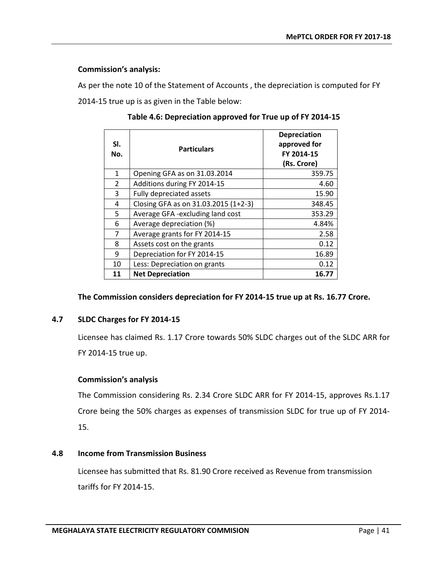## **Commission's analysis:**

<span id="page-46-2"></span>As per the note 10 of the Statement of Accounts , the depreciation is computed for FY 2014-15 true up is as given in the Table below:

| SI.<br>No. | <b>Particulars</b>                   | <b>Depreciation</b><br>approved for<br>FY 2014-15<br>(Rs. Crore) |
|------------|--------------------------------------|------------------------------------------------------------------|
| 1          | Opening GFA as on 31.03.2014         | 359.75                                                           |
| 2          | Additions during FY 2014-15          | 4.60                                                             |
| 3          | Fully depreciated assets             | 15.90                                                            |
| 4          | Closing GFA as on 31.03.2015 (1+2-3) | 348.45                                                           |
| 5          | Average GFA -excluding land cost     | 353.29                                                           |
| 6          | Average depreciation (%)             | 4.84%                                                            |
| 7          | Average grants for FY 2014-15        | 2.58                                                             |
| 8          | Assets cost on the grants            | 0.12                                                             |
| 9          | Depreciation for FY 2014-15          | 16.89                                                            |
| 10         | Less: Depreciation on grants         | 0.12                                                             |
| 11         | <b>Net Depreciation</b>              | 16.77                                                            |

**Table 4.6: Depreciation approved for True up of FY 2014-15**

## **The Commission considers depreciation for FY 2014-15 true up at Rs. 16.77 Crore.**

## <span id="page-46-0"></span>**4.7 SLDC Charges for FY 2014-15**

Licensee has claimed Rs. 1.17 Crore towards 50% SLDC charges out of the SLDC ARR for FY 2014-15 true up.

## **Commission's analysis**

The Commission considering Rs. 2.34 Crore SLDC ARR for FY 2014-15, approves Rs.1.17 Crore being the 50% charges as expenses of transmission SLDC for true up of FY 2014- 15.

## <span id="page-46-1"></span>**4.8 Income from Transmission Business**

Licensee has submitted that Rs. 81.90 Crore received as Revenue from transmission tariffs for FY 2014-15.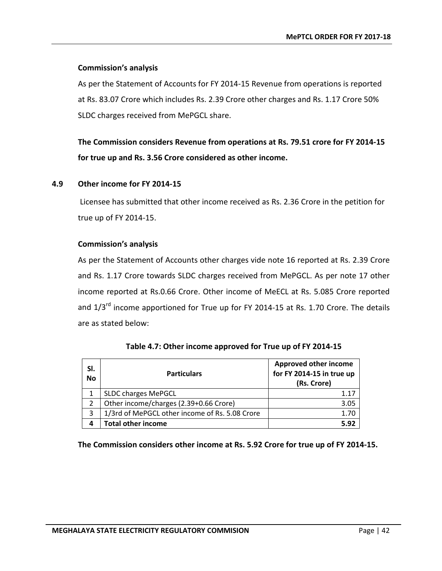## **Commission's analysis**

As per the Statement of Accounts for FY 2014-15 Revenue from operations is reported at Rs. 83.07 Crore which includes Rs. 2.39 Crore other charges and Rs. 1.17 Crore 50% SLDC charges received from MePGCL share.

**The Commission considers Revenue from operations at Rs. 79.51 crore for FY 2014-15 for true up and Rs. 3.56 Crore considered as other income.**

## <span id="page-47-0"></span>**4.9 Other income for FY 2014-15**

Licensee has submitted that other income received as Rs. 2.36 Crore in the petition for true up of FY 2014-15.

## **Commission's analysis**

As per the Statement of Accounts other charges vide note 16 reported at Rs. 2.39 Crore and Rs. 1.17 Crore towards SLDC charges received from MePGCL. As per note 17 other income reported at Rs.0.66 Crore. Other income of MeECL at Rs. 5.085 Crore reported and  $1/3<sup>rd</sup>$  income apportioned for True up for FY 2014-15 at Rs. 1.70 Crore. The details are as stated below:

<span id="page-47-1"></span>

| SI.<br><b>No</b> | <b>Particulars</b>                             | <b>Approved other income</b><br>for FY 2014-15 in true up<br>(Rs. Crore) |
|------------------|------------------------------------------------|--------------------------------------------------------------------------|
|                  | <b>SLDC charges MePGCL</b>                     | 1.17                                                                     |
|                  | Other income/charges (2.39+0.66 Crore)         | 3.05                                                                     |
| 3                | 1/3rd of MePGCL other income of Rs. 5.08 Crore | 1.70                                                                     |
| 4                | <b>Total other income</b>                      | 5.92                                                                     |

|  |  | Table 4.7: Other income approved for True up of FY 2014-15 |
|--|--|------------------------------------------------------------|
|--|--|------------------------------------------------------------|

**The Commission considers other income at Rs. 5.92 Crore for true up of FY 2014-15.**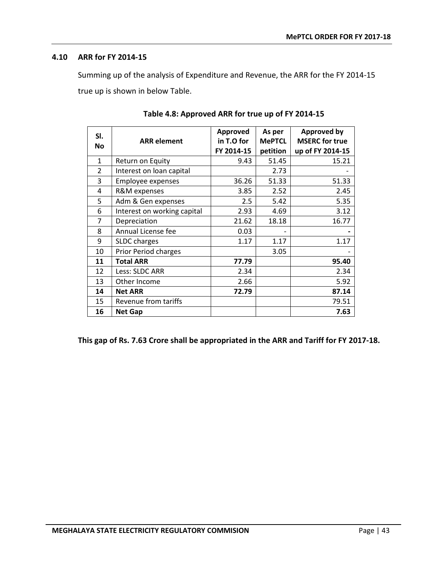## <span id="page-48-0"></span>**4.10 ARR for FY 2014-15**

Summing up of the analysis of Expenditure and Revenue, the ARR for the FY 2014-15 true up is shown in below Table.

<span id="page-48-1"></span>

| SI.           |                             | Approved   | As per        | <b>Approved by</b>    |
|---------------|-----------------------------|------------|---------------|-----------------------|
| <b>No</b>     | <b>ARR</b> element          | in T.O for | <b>MePTCL</b> | <b>MSERC</b> for true |
|               |                             | FY 2014-15 | petition      | up of FY 2014-15      |
| $\mathbf{1}$  | Return on Equity            | 9.43       | 51.45         | 15.21                 |
| $\mathcal{P}$ | Interest on loan capital    |            | 2.73          |                       |
| 3             | <b>Employee expenses</b>    | 36.26      | 51.33         | 51.33                 |
| 4             | R&M expenses                | 3.85       | 2.52          | 2.45                  |
| 5             | Adm & Gen expenses          | 2.5        | 5.42          | 5.35                  |
| 6             | Interest on working capital | 2.93       | 4.69          | 3.12                  |
| 7             | Depreciation                | 21.62      | 18.18         | 16.77                 |
| 8             | Annual License fee          | 0.03       |               |                       |
| 9             | <b>SLDC</b> charges         | 1.17       | 1.17          | 1.17                  |
| 10            | <b>Prior Period charges</b> |            | 3.05          |                       |
| 11            | <b>Total ARR</b>            | 77.79      |               | 95.40                 |
| 12            | Less: SLDC ARR              | 2.34       |               | 2.34                  |
| 13            | Other Income                | 2.66       |               | 5.92                  |
| 14            | <b>Net ARR</b>              | 72.79      |               | 87.14                 |
| 15            | Revenue from tariffs        |            |               | 79.51                 |
| 16            | <b>Net Gap</b>              |            |               | 7.63                  |

**This gap of Rs. 7.63 Crore shall be appropriated in the ARR and Tariff for FY 2017-18.**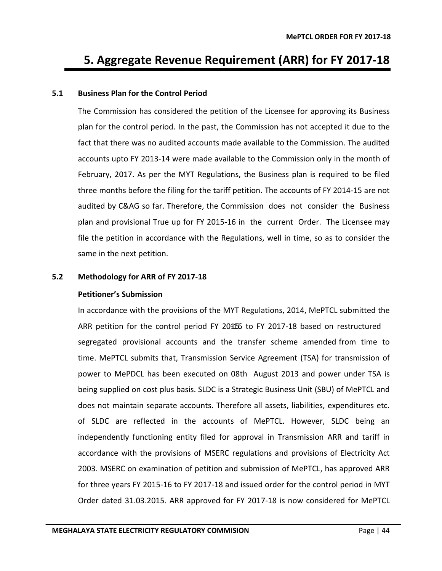# <span id="page-49-0"></span>**5. Aggregate Revenue Requirement (ARR) for FY 2017-18**

## <span id="page-49-1"></span>**5.1 Business Plan for the Control Period**

The Commission has considered the petition of the Licensee for approving its Business plan for the control period. In the past, the Commission has not accepted it due to the fact that there was no audited accounts made available to the Commission. The audited accounts upto FY 2013-14 were made available to the Commission only in the month of February, 2017. As per the MYT Regulations, the Business plan is required to be filed three months before the filing for the tariff petition. The accounts of FY 2014-15 are not audited by C&AG so far. Therefore, the Commission does not consider the Business plan and provisional True up for FY 2015-16 in the current Order. The Licensee may file the petition in accordance with the Regulations, well in time, so as to consider the same in the next petition.

#### <span id="page-49-2"></span>**5.2 Methodology for ARR of FY 2017-18**

#### **Petitioner's Submission**

In accordance with the provisions of the MYT Regulations, 2014, MePTCL submitted the ARR petition for the control period FY 2015-16 to FY 2017-18 based on restructured segregated provisional accounts and the transfer scheme amended from time to time. MePTCL submits that, Transmission Service Agreement (TSA) for transmission of power to MePDCL has been executed on 08th August 2013 and power under TSA is being supplied on cost plus basis. SLDC is a Strategic Business Unit (SBU) of MePTCL and does not maintain separate accounts. Therefore all assets, liabilities, expenditures etc. of SLDC are reflected in the accounts of MePTCL. However, SLDC being an independently functioning entity filed for approval in Transmission ARR and tariff in accordance with the provisions of MSERC regulations and provisions of Electricity Act 2003. MSERC on examination of petition and submission of MePTCL, has approved ARR for three years FY 2015-16 to FY 2017-18 and issued order for the control period in MYT Order dated 31.03.2015. ARR approved for FY 2017-18 is now considered for MePTCL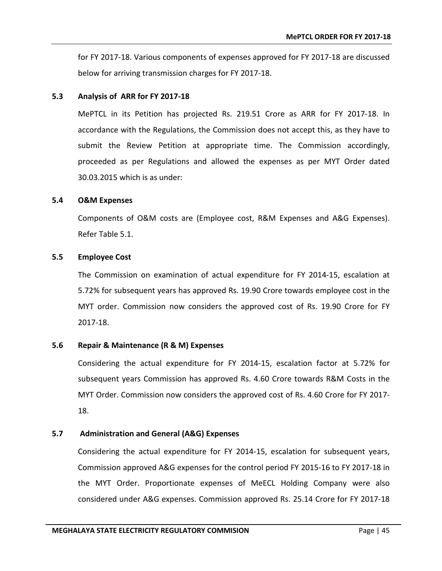for FY 2017-18. Various components of expenses approved for FY 2017-18 are discussed below for arriving transmission charges for FY 2017-18.

#### <span id="page-50-0"></span>**5.3 Analysis of ARR for FY 2017-18**

MePTCL in its Petition has projected Rs. 219.51 Crore as ARR for FY 2017-18. In accordance with the Regulations, the Commission does not accept this, as they have to submit the Review Petition at appropriate time. The Commission accordingly, proceeded as per Regulations and allowed the expenses as per MYT Order dated 30.03.2015 which is as under:

## <span id="page-50-1"></span>**5.4 O&M Expenses**

Components of O&M costs are (Employee cost, R&M Expenses and A&G Expenses). Refer Table 5.1.

## <span id="page-50-2"></span>**5.5 Employee Cost**

The Commission on examination of actual expenditure for FY 2014-15, escalation at 5.72% for subsequent years has approved Rs. 19.90 Crore towards employee cost in the MYT order. Commission now considers the approved cost of Rs. 19.90 Crore for FY 2017-18.

## <span id="page-50-3"></span>**5.6 Repair & Maintenance (R & M) Expenses**

Considering the actual expenditure for FY 2014-15, escalation factor at 5.72% for subsequent years Commission has approved Rs. 4.60 Crore towards R&M Costs in the MYT Order. Commission now considers the approved cost of Rs. 4.60 Crore for FY 2017- 18.

## **5.7 Administration and General (A&G) Expenses**

<span id="page-50-4"></span>Considering the actual expenditure for FY 2014-15, escalation for subsequent years, Commission approved A&G expenses for the control period FY 2015-16 to FY 2017-18 in the MYT Order. Proportionate expenses of MeECL Holding Company were also considered under A&G expenses. Commission approved Rs. 25.14 Crore for FY 2017-18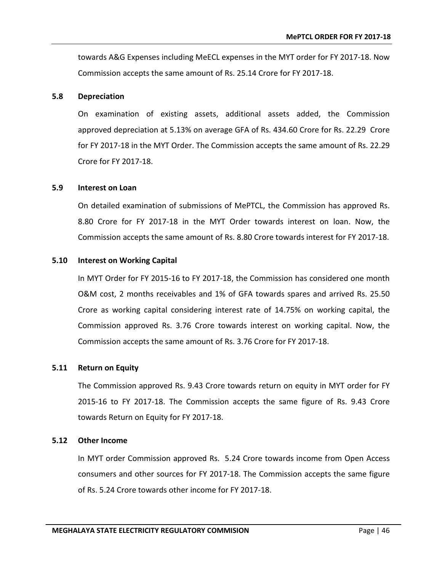towards A&G Expenses including MeECL expenses in the MYT order for FY 2017-18. Now Commission accepts the same amount of Rs. 25.14 Crore for FY 2017-18.

#### <span id="page-51-0"></span>**5.8 Depreciation**

On examination of existing assets, additional assets added, the Commission approved depreciation at 5.13% on average GFA of Rs. 434.60 Crore for Rs. 22.29 Crore for FY 2017-18 in the MYT Order. The Commission accepts the same amount of Rs. 22.29 Crore for FY 2017-18.

#### <span id="page-51-1"></span>**5.9 Interest on Loan**

On detailed examination of submissions of MePTCL, the Commission has approved Rs. 8.80 Crore for FY 2017-18 in the MYT Order towards interest on loan. Now, the Commission accepts the same amount of Rs. 8.80 Crore towards interest for FY 2017-18.

#### <span id="page-51-2"></span>**5.10 Interest on Working Capital**

In MYT Order for FY 2015-16 to FY 2017-18, the Commission has considered one month O&M cost, 2 months receivables and 1% of GFA towards spares and arrived Rs. 25.50 Crore as working capital considering interest rate of 14.75% on working capital, the Commission approved Rs. 3.76 Crore towards interest on working capital. Now, the Commission accepts the same amount of Rs. 3.76 Crore for FY 2017-18.

#### <span id="page-51-3"></span>**5.11 Return on Equity**

The Commission approved Rs. 9.43 Crore towards return on equity in MYT order for FY 2015-16 to FY 2017-18. The Commission accepts the same figure of Rs. 9.43 Crore towards Return on Equity for FY 2017-18.

#### <span id="page-51-4"></span>**5.12 Other Income**

In MYT order Commission approved Rs. 5.24 Crore towards income from Open Access consumers and other sources for FY 2017-18. The Commission accepts the same figure of Rs. 5.24 Crore towards other income for FY 2017-18.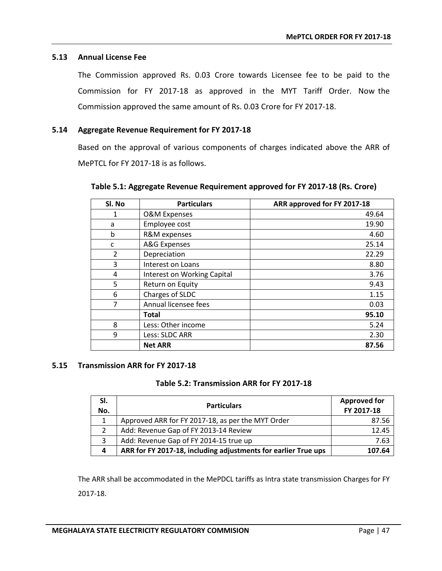## <span id="page-52-0"></span>**5.13 Annual License Fee**

The Commission approved Rs. 0.03 Crore towards Licensee fee to be paid to the Commission for FY 2017-18 as approved in the MYT Tariff Order. Now the Commission approved the same amount of Rs. 0.03 Crore for FY 2017-18.

## <span id="page-52-1"></span>**5.14 Aggregate Revenue Requirement for FY 2017-18**

Based on the approval of various components of charges indicated above the ARR of MePTCL for FY 2017-18 is as follows.

| SI. No         | <b>Particulars</b>          | ARR approved for FY 2017-18 |
|----------------|-----------------------------|-----------------------------|
| 1              | <b>O&amp;M Expenses</b>     | 49.64                       |
| a              | Employee cost               | 19.90                       |
| b              | R&M expenses                | 4.60                        |
| c              | A&G Expenses                | 25.14                       |
| $\overline{2}$ | Depreciation                | 22.29                       |
| 3              | Interest on Loans           | 8.80                        |
| 4              | Interest on Working Capital | 3.76                        |
| 5              | Return on Equity            | 9.43                        |
| 6              | Charges of SLDC             | 1.15                        |
| 7              | Annual licensee fees        | 0.03                        |
|                | Total                       | 95.10                       |
| 8              | Less: Other income          | 5.24                        |
| 9              | Less: SLDC ARR              | 2.30                        |
|                | <b>Net ARR</b>              | 87.56                       |

<span id="page-52-3"></span>**Table 5.1: Aggregate Revenue Requirement approved for FY 2017-18 (Rs. Crore)**

## <span id="page-52-4"></span><span id="page-52-2"></span>**5.15 Transmission ARR for FY 2017-18**

## **Table 5.2: Transmission ARR for FY 2017-18**

| SI.<br>No. | <b>Particulars</b>                                             | <b>Approved for</b><br>FY 2017-18 |
|------------|----------------------------------------------------------------|-----------------------------------|
| 1          | Approved ARR for FY 2017-18, as per the MYT Order              | 87.56                             |
|            | Add: Revenue Gap of FY 2013-14 Review                          | 12.45                             |
| 3          | Add: Revenue Gap of FY 2014-15 true up                         | 7.63                              |
| 4          | ARR for FY 2017-18, including adjustments for earlier True ups | 107.64                            |

The ARR shall be accommodated in the MePDCL tariffs as Intra state transmission Charges for FY 2017-18.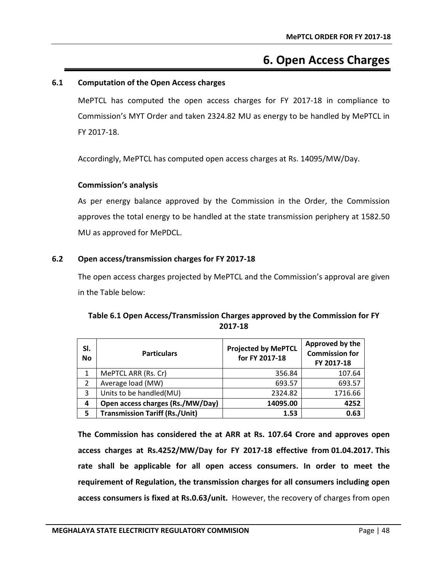# **6. Open Access Charges**

## <span id="page-53-1"></span><span id="page-53-0"></span>**6.1 Computation of the Open Access charges**

MePTCL has computed the open access charges for FY 2017-18 in compliance to Commission's MYT Order and taken 2324.82 MU as energy to be handled by MePTCL in FY 2017-18.

Accordingly, MePTCL has computed open access charges at Rs. 14095/MW/Day.

## **Commission's analysis**

As per energy balance approved by the Commission in the Order, the Commission approves the total energy to be handled at the state transmission periphery at 1582.50 MU as approved for MePDCL.

## <span id="page-53-2"></span>**6.2 Open access/transmission charges for FY 2017-18**

The open access charges projected by MePTCL and the Commission's approval are given in the Table below:

<span id="page-53-3"></span>

| SI.<br><b>No</b> | <b>Particulars</b>      | <b>Projected by MePTCL</b><br>for FY 2017-18 | Approved by the<br><b>Commission for</b><br>FY 2017-18 |
|------------------|-------------------------|----------------------------------------------|--------------------------------------------------------|
|                  | MePTCL ARR (Rs. Cr)     | 356.84                                       | 107.64                                                 |
|                  | Average load (MW)       | 693.57                                       | 693.57                                                 |
| 3                | Units to be handled(MU) | 2324.82                                      | 1716.66                                                |

**4 Open access charges (Rs./MW/Day) 14095.00 4252 5 Transmission Tariff (Rs./Unit) 1.53 0.63**

## **Table 6.1 Open Access/Transmission Charges approved by the Commission for FY 2017-18**

**The Commission has considered the at ARR at Rs. 107.64 Crore and approves open access charges at Rs.4252/MW/Day for FY 2017-18 effective from 01.04.2017. This rate shall be applicable for all open access consumers. In order to meet the requirement of Regulation, the transmission charges for all consumers including open access consumers is fixed at Rs.0.63/unit.** However, the recovery of charges from open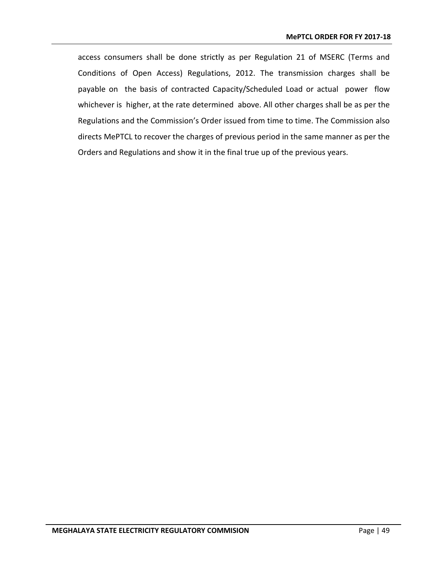access consumers shall be done strictly as per Regulation 21 of MSERC (Terms and Conditions of Open Access) Regulations, 2012. The transmission charges shall be payable on the basis of contracted Capacity/Scheduled Load or actual power flow whichever is higher, at the rate determined above. All other charges shall be as per the Regulations and the Commission's Order issued from time to time. The Commission also directs MePTCL to recover the charges of previous period in the same manner as per the Orders and Regulations and show it in the final true up of the previous years.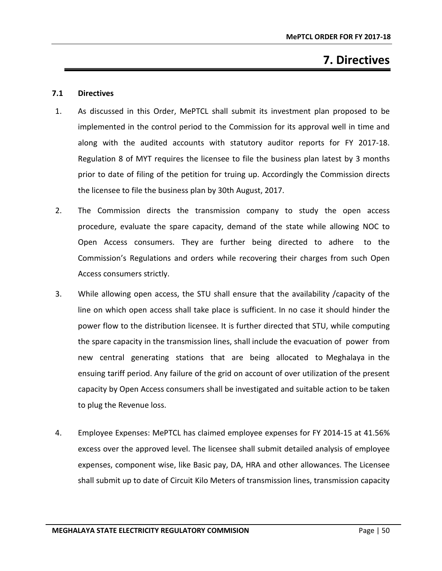# **7. Directives**

## <span id="page-55-1"></span><span id="page-55-0"></span>**7.1 Directives**

- 1. As discussed in this Order, MePTCL shall submit its investment plan proposed to be implemented in the control period to the Commission for its approval well in time and along with the audited accounts with statutory auditor reports for FY 2017-18. Regulation 8 of MYT requires the licensee to file the business plan latest by 3 months prior to date of filing of the petition for truing up. Accordingly the Commission directs the licensee to file the business plan by 30th August, 2017.
- 2. The Commission directs the transmission company to study the open access procedure, evaluate the spare capacity, demand of the state while allowing NOC to Open Access consumers. They are further being directed to adhere to the Commission's Regulations and orders while recovering their charges from such Open Access consumers strictly.
- 3. While allowing open access, the STU shall ensure that the availability /capacity of the line on which open access shall take place is sufficient. In no case it should hinder the power flow to the distribution licensee. It is further directed that STU, while computing the spare capacity in the transmission lines, shall include the evacuation of power from new central generating stations that are being allocated to Meghalaya in the ensuing tariff period. Any failure of the grid on account of over utilization of the present capacity by Open Access consumers shall be investigated and suitable action to be taken to plug the Revenue loss.
- 4. Employee Expenses: MePTCL has claimed employee expenses for FY 2014-15 at 41.56% excess over the approved level. The licensee shall submit detailed analysis of employee expenses, component wise, like Basic pay, DA, HRA and other allowances. The Licensee shall submit up to date of Circuit Kilo Meters of transmission lines, transmission capacity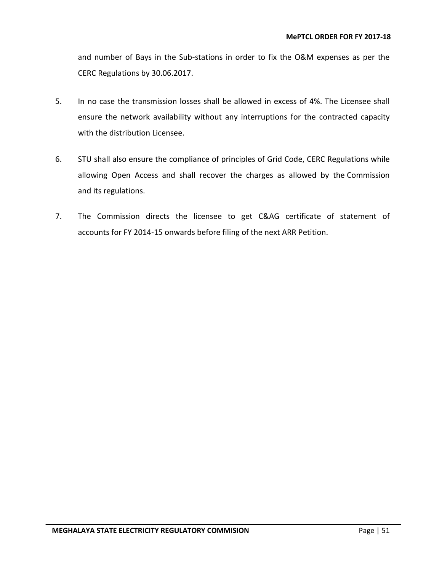and number of Bays in the Sub-stations in order to fix the O&M expenses as per the CERC Regulations by 30.06.2017.

- 5. In no case the transmission losses shall be allowed in excess of 4%. The Licensee shall ensure the network availability without any interruptions for the contracted capacity with the distribution Licensee.
- 6. STU shall also ensure the compliance of principles of Grid Code, CERC Regulations while allowing Open Access and shall recover the charges as allowed by the Commission and its regulations.
- 7. The Commission directs the licensee to get C&AG certificate of statement of accounts for FY 2014-15 onwards before filing of the next ARR Petition.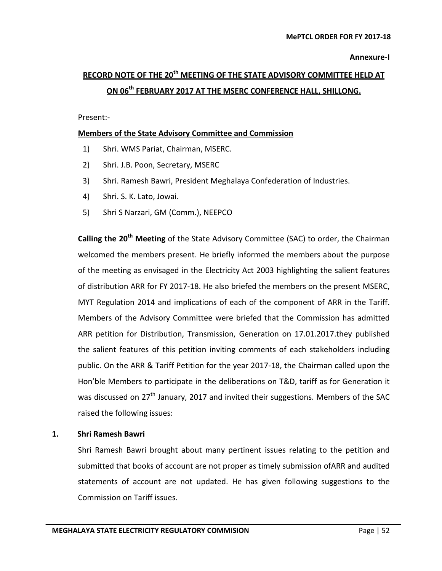#### **Annexure-I**

# <span id="page-57-0"></span>**RECORD NOTE OF THE 20th MEETING OF THE STATE ADVISORY COMMITTEE HELD AT ON 06th FEBRUARY 2017 AT THE MSERC CONFERENCE HALL, SHILLONG.**

Present:-

## **Members of the State Advisory Committee and Commission**

- 1) Shri. WMS Pariat, Chairman, MSERC.
- 2) Shri. J.B. Poon, Secretary, MSERC
- 3) Shri. Ramesh Bawri, President Meghalaya Confederation of Industries.
- 4) Shri. S. K. Lato, Jowai.
- 5) Shri S Narzari, GM (Comm.), NEEPCO

**Calling the 20th Meeting** of the State Advisory Committee (SAC) to order, the Chairman welcomed the members present. He briefly informed the members about the purpose of the meeting as envisaged in the Electricity Act 2003 highlighting the salient features of distribution ARR for FY 2017-18. He also briefed the members on the present MSERC, MYT Regulation 2014 and implications of each of the component of ARR in the Tariff. Members of the Advisory Committee were briefed that the Commission has admitted ARR petition for Distribution, Transmission, Generation on 17.01.2017.they published the salient features of this petition inviting comments of each stakeholders including public. On the ARR & Tariff Petition for the year 2017-18, the Chairman called upon the Hon'ble Members to participate in the deliberations on T&D, tariff as for Generation it was discussed on  $27<sup>th</sup>$  January, 2017 and invited their suggestions. Members of the SAC raised the following issues:

## **1. Shri Ramesh Bawri**

Shri Ramesh Bawri brought about many pertinent issues relating to the petition and submitted that books of account are not proper as timely submission ofARR and audited statements of account are not updated. He has given following suggestions to the Commission on Tariff issues.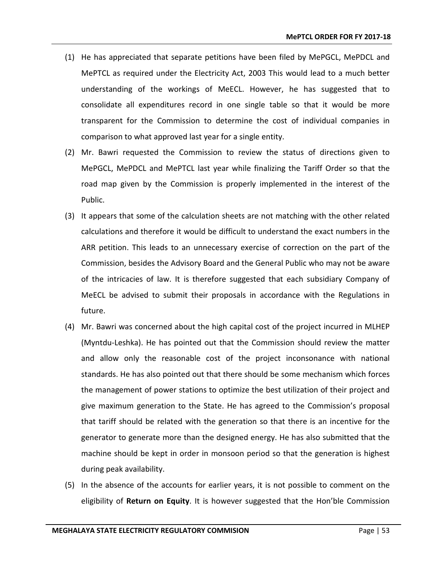- (1) He has appreciated that separate petitions have been filed by MePGCL, MePDCL and MePTCL as required under the Electricity Act, 2003 This would lead to a much better understanding of the workings of MeECL. However, he has suggested that to consolidate all expenditures record in one single table so that it would be more transparent for the Commission to determine the cost of individual companies in comparison to what approved last year for a single entity.
- (2) Mr. Bawri requested the Commission to review the status of directions given to MePGCL, MePDCL and MePTCL last year while finalizing the Tariff Order so that the road map given by the Commission is properly implemented in the interest of the Public.
- (3) It appears that some of the calculation sheets are not matching with the other related calculations and therefore it would be difficult to understand the exact numbers in the ARR petition. This leads to an unnecessary exercise of correction on the part of the Commission, besides the Advisory Board and the General Public who may not be aware of the intricacies of law. It is therefore suggested that each subsidiary Company of MeECL be advised to submit their proposals in accordance with the Regulations in future.
- (4) Mr. Bawri was concerned about the high capital cost of the project incurred in MLHEP (Myntdu-Leshka). He has pointed out that the Commission should review the matter and allow only the reasonable cost of the project inconsonance with national standards. He has also pointed out that there should be some mechanism which forces the management of power stations to optimize the best utilization of their project and give maximum generation to the State. He has agreed to the Commission's proposal that tariff should be related with the generation so that there is an incentive for the generator to generate more than the designed energy. He has also submitted that the machine should be kept in order in monsoon period so that the generation is highest during peak availability.
- (5) In the absence of the accounts for earlier years, it is not possible to comment on the eligibility of **Return on Equity**. It is however suggested that the Hon'ble Commission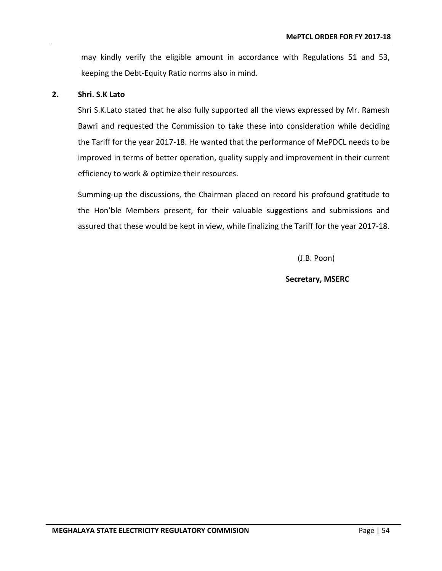may kindly verify the eligible amount in accordance with Regulations 51 and 53, keeping the Debt-Equity Ratio norms also in mind.

## **2. Shri. S.K Lato**

Shri S.K.Lato stated that he also fully supported all the views expressed by Mr. Ramesh Bawri and requested the Commission to take these into consideration while deciding the Tariff for the year 2017-18. He wanted that the performance of MePDCL needs to be improved in terms of better operation, quality supply and improvement in their current efficiency to work & optimize their resources.

Summing-up the discussions, the Chairman placed on record his profound gratitude to the Hon'ble Members present, for their valuable suggestions and submissions and assured that these would be kept in view, while finalizing the Tariff for the year 2017-18.

(J.B. Poon)

## **Secretary, MSERC**